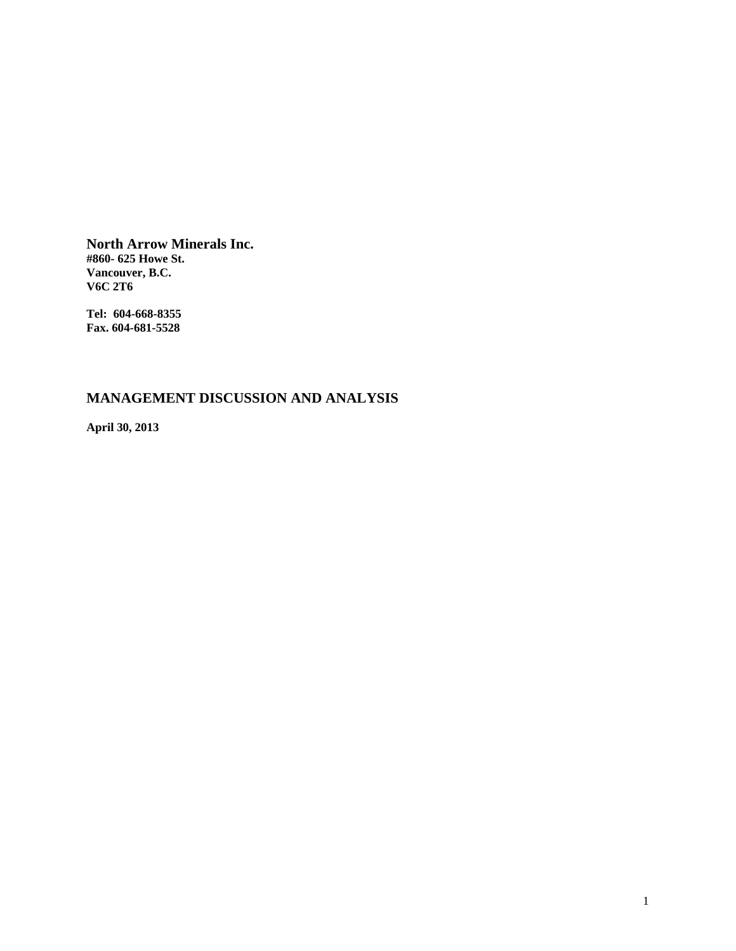**North Arrow Minerals Inc. #860- 625 Howe St. Vancouver, B.C. V6C 2T6** 

**Tel: 604-668-8355 Fax. 604-681-5528** 

# **MANAGEMENT DISCUSSION AND ANALYSIS**

**April 30, 2013**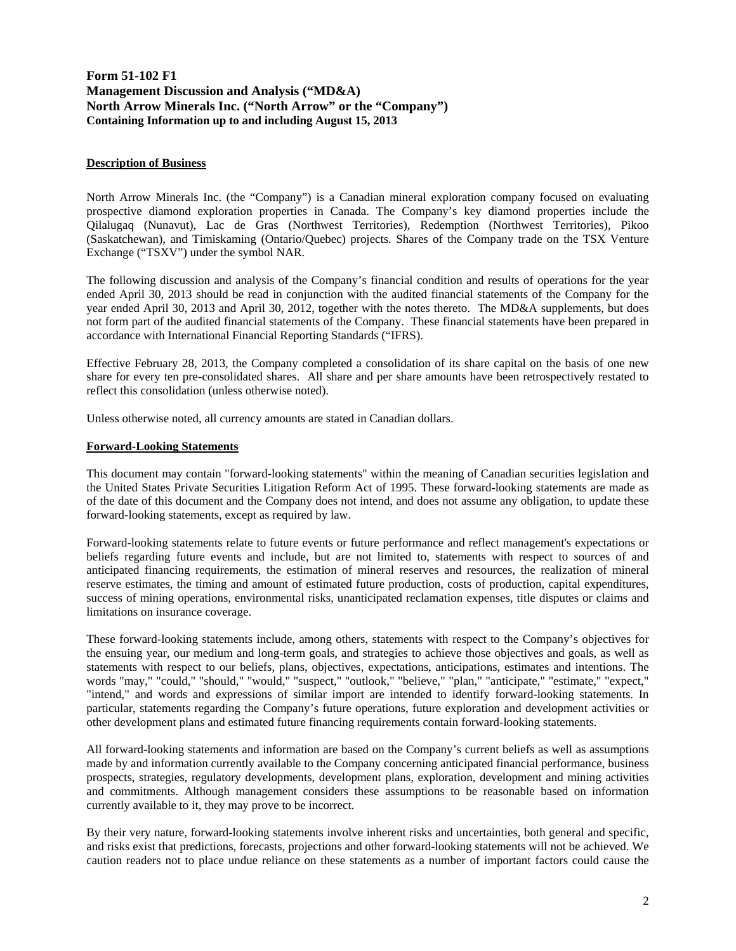# **Form 51-102 F1 Management Discussion and Analysis ("MD&A) North Arrow Minerals Inc. ("North Arrow" or the "Company") Containing Information up to and including August 15, 2013**

## **Description of Business**

North Arrow Minerals Inc. (the "Company") is a Canadian mineral exploration company focused on evaluating prospective diamond exploration properties in Canada. The Company's key diamond properties include the Qilalugaq (Nunavut), Lac de Gras (Northwest Territories), Redemption (Northwest Territories), Pikoo (Saskatchewan), and Timiskaming (Ontario/Quebec) projects. Shares of the Company trade on the TSX Venture Exchange ("TSXV") under the symbol NAR.

The following discussion and analysis of the Company's financial condition and results of operations for the year ended April 30, 2013 should be read in conjunction with the audited financial statements of the Company for the year ended April 30, 2013 and April 30, 2012, together with the notes thereto. The MD&A supplements, but does not form part of the audited financial statements of the Company. These financial statements have been prepared in accordance with International Financial Reporting Standards ("IFRS).

Effective February 28, 2013, the Company completed a consolidation of its share capital on the basis of one new share for every ten pre-consolidated shares. All share and per share amounts have been retrospectively restated to reflect this consolidation (unless otherwise noted).

Unless otherwise noted, all currency amounts are stated in Canadian dollars.

## **Forward-Looking Statements**

This document may contain "forward-looking statements" within the meaning of Canadian securities legislation and the United States Private Securities Litigation Reform Act of 1995. These forward-looking statements are made as of the date of this document and the Company does not intend, and does not assume any obligation, to update these forward-looking statements, except as required by law.

Forward-looking statements relate to future events or future performance and reflect management's expectations or beliefs regarding future events and include, but are not limited to, statements with respect to sources of and anticipated financing requirements, the estimation of mineral reserves and resources, the realization of mineral reserve estimates, the timing and amount of estimated future production, costs of production, capital expenditures, success of mining operations, environmental risks, unanticipated reclamation expenses, title disputes or claims and limitations on insurance coverage.

These forward-looking statements include, among others, statements with respect to the Company's objectives for the ensuing year, our medium and long-term goals, and strategies to achieve those objectives and goals, as well as statements with respect to our beliefs, plans, objectives, expectations, anticipations, estimates and intentions. The words "may," "could," "should," "would," "suspect," "outlook," "believe," "plan," "anticipate," "estimate," "expect," "intend," and words and expressions of similar import are intended to identify forward-looking statements. In particular, statements regarding the Company's future operations, future exploration and development activities or other development plans and estimated future financing requirements contain forward-looking statements.

All forward-looking statements and information are based on the Company's current beliefs as well as assumptions made by and information currently available to the Company concerning anticipated financial performance, business prospects, strategies, regulatory developments, development plans, exploration, development and mining activities and commitments. Although management considers these assumptions to be reasonable based on information currently available to it, they may prove to be incorrect.

By their very nature, forward-looking statements involve inherent risks and uncertainties, both general and specific, and risks exist that predictions, forecasts, projections and other forward-looking statements will not be achieved. We caution readers not to place undue reliance on these statements as a number of important factors could cause the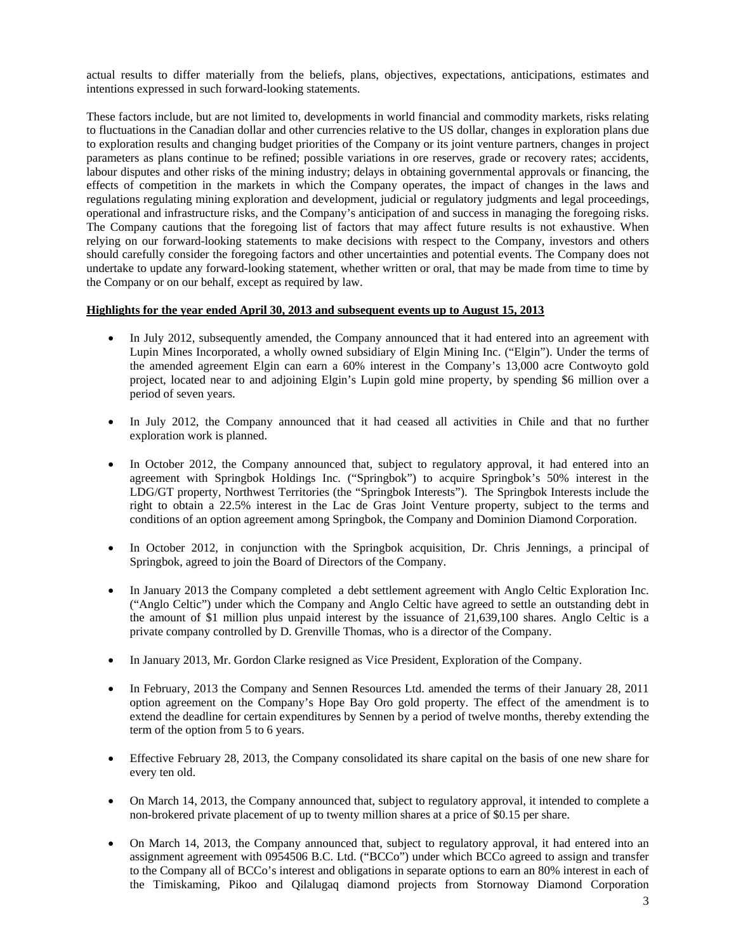actual results to differ materially from the beliefs, plans, objectives, expectations, anticipations, estimates and intentions expressed in such forward-looking statements.

These factors include, but are not limited to, developments in world financial and commodity markets, risks relating to fluctuations in the Canadian dollar and other currencies relative to the US dollar, changes in exploration plans due to exploration results and changing budget priorities of the Company or its joint venture partners, changes in project parameters as plans continue to be refined; possible variations in ore reserves, grade or recovery rates; accidents, labour disputes and other risks of the mining industry; delays in obtaining governmental approvals or financing, the effects of competition in the markets in which the Company operates, the impact of changes in the laws and regulations regulating mining exploration and development, judicial or regulatory judgments and legal proceedings, operational and infrastructure risks, and the Company's anticipation of and success in managing the foregoing risks. The Company cautions that the foregoing list of factors that may affect future results is not exhaustive. When relying on our forward-looking statements to make decisions with respect to the Company, investors and others should carefully consider the foregoing factors and other uncertainties and potential events. The Company does not undertake to update any forward-looking statement, whether written or oral, that may be made from time to time by the Company or on our behalf, except as required by law.

## **Highlights for the year ended April 30, 2013 and subsequent events up to August 15, 2013**

- In July 2012, subsequently amended, the Company announced that it had entered into an agreement with Lupin Mines Incorporated, a wholly owned subsidiary of Elgin Mining Inc. ("Elgin"). Under the terms of the amended agreement Elgin can earn a 60% interest in the Company's 13,000 acre Contwoyto gold project, located near to and adjoining Elgin's Lupin gold mine property, by spending \$6 million over a period of seven years.
- In July 2012, the Company announced that it had ceased all activities in Chile and that no further exploration work is planned.
- In October 2012, the Company announced that, subject to regulatory approval, it had entered into an agreement with Springbok Holdings Inc. ("Springbok") to acquire Springbok's 50% interest in the LDG/GT property, Northwest Territories (the "Springbok Interests"). The Springbok Interests include the right to obtain a 22.5% interest in the Lac de Gras Joint Venture property, subject to the terms and conditions of an option agreement among Springbok, the Company and Dominion Diamond Corporation.
- In October 2012, in conjunction with the Springbok acquisition, Dr. Chris Jennings, a principal of Springbok, agreed to join the Board of Directors of the Company.
- In January 2013 the Company completed a debt settlement agreement with Anglo Celtic Exploration Inc. ("Anglo Celtic") under which the Company and Anglo Celtic have agreed to settle an outstanding debt in the amount of \$1 million plus unpaid interest by the issuance of 21,639,100 shares. Anglo Celtic is a private company controlled by D. Grenville Thomas, who is a director of the Company.
- In January 2013, Mr. Gordon Clarke resigned as Vice President, Exploration of the Company.
- In February, 2013 the Company and Sennen Resources Ltd. amended the terms of their January 28, 2011 option agreement on the Company's Hope Bay Oro gold property. The effect of the amendment is to extend the deadline for certain expenditures by Sennen by a period of twelve months, thereby extending the term of the option from 5 to 6 years.
- Effective February 28, 2013, the Company consolidated its share capital on the basis of one new share for every ten old.
- On March 14, 2013, the Company announced that, subject to regulatory approval, it intended to complete a non-brokered private placement of up to twenty million shares at a price of \$0.15 per share.
- On March 14, 2013, the Company announced that, subject to regulatory approval, it had entered into an assignment agreement with 0954506 B.C. Ltd. ("BCCo") under which BCCo agreed to assign and transfer to the Company all of BCCo's interest and obligations in separate options to earn an 80% interest in each of the Timiskaming, Pikoo and Qilalugaq diamond projects from Stornoway Diamond Corporation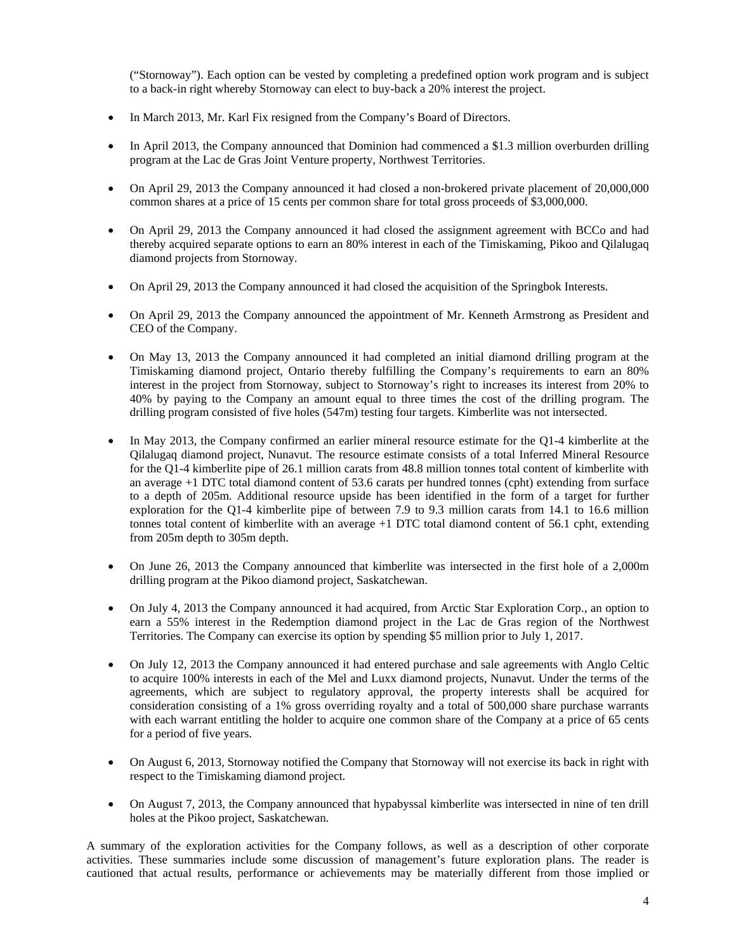("Stornoway"). Each option can be vested by completing a predefined option work program and is subject to a back-in right whereby Stornoway can elect to buy-back a 20% interest the project.

- In March 2013, Mr. Karl Fix resigned from the Company's Board of Directors.
- In April 2013, the Company announced that Dominion had commenced a \$1.3 million overburden drilling program at the Lac de Gras Joint Venture property, Northwest Territories.
- On April 29, 2013 the Company announced it had closed a non-brokered private placement of 20,000,000 common shares at a price of 15 cents per common share for total gross proceeds of \$3,000,000.
- On April 29, 2013 the Company announced it had closed the assignment agreement with BCCo and had thereby acquired separate options to earn an 80% interest in each of the Timiskaming, Pikoo and Qilalugaq diamond projects from Stornoway.
- On April 29, 2013 the Company announced it had closed the acquisition of the Springbok Interests.
- On April 29, 2013 the Company announced the appointment of Mr. Kenneth Armstrong as President and CEO of the Company.
- On May 13, 2013 the Company announced it had completed an initial diamond drilling program at the Timiskaming diamond project, Ontario thereby fulfilling the Company's requirements to earn an 80% interest in the project from Stornoway, subject to Stornoway's right to increases its interest from 20% to 40% by paying to the Company an amount equal to three times the cost of the drilling program. The drilling program consisted of five holes (547m) testing four targets. Kimberlite was not intersected.
- In May 2013, the Company confirmed an earlier mineral resource estimate for the Q1-4 kimberlite at the Qilalugaq diamond project, Nunavut. The resource estimate consists of a total Inferred Mineral Resource for the Q1-4 kimberlite pipe of 26.1 million carats from 48.8 million tonnes total content of kimberlite with an average +1 DTC total diamond content of 53.6 carats per hundred tonnes (cpht) extending from surface to a depth of 205m. Additional resource upside has been identified in the form of a target for further exploration for the Q1-4 kimberlite pipe of between 7.9 to 9.3 million carats from 14.1 to 16.6 million tonnes total content of kimberlite with an average  $+1$  DTC total diamond content of 56.1 cpht, extending from 205m depth to 305m depth.
- On June 26, 2013 the Company announced that kimberlite was intersected in the first hole of a 2,000m drilling program at the Pikoo diamond project, Saskatchewan.
- On July 4, 2013 the Company announced it had acquired, from Arctic Star Exploration Corp., an option to earn a 55% interest in the Redemption diamond project in the Lac de Gras region of the Northwest Territories. The Company can exercise its option by spending \$5 million prior to July 1, 2017.
- On July 12, 2013 the Company announced it had entered purchase and sale agreements with Anglo Celtic to acquire 100% interests in each of the Mel and Luxx diamond projects, Nunavut. Under the terms of the agreements, which are subject to regulatory approval, the property interests shall be acquired for consideration consisting of a 1% gross overriding royalty and a total of 500,000 share purchase warrants with each warrant entitling the holder to acquire one common share of the Company at a price of 65 cents for a period of five years.
- On August 6, 2013, Stornoway notified the Company that Stornoway will not exercise its back in right with respect to the Timiskaming diamond project.
- On August 7, 2013, the Company announced that hypabyssal kimberlite was intersected in nine of ten drill holes at the Pikoo project, Saskatchewan.

A summary of the exploration activities for the Company follows, as well as a description of other corporate activities. These summaries include some discussion of management's future exploration plans. The reader is cautioned that actual results, performance or achievements may be materially different from those implied or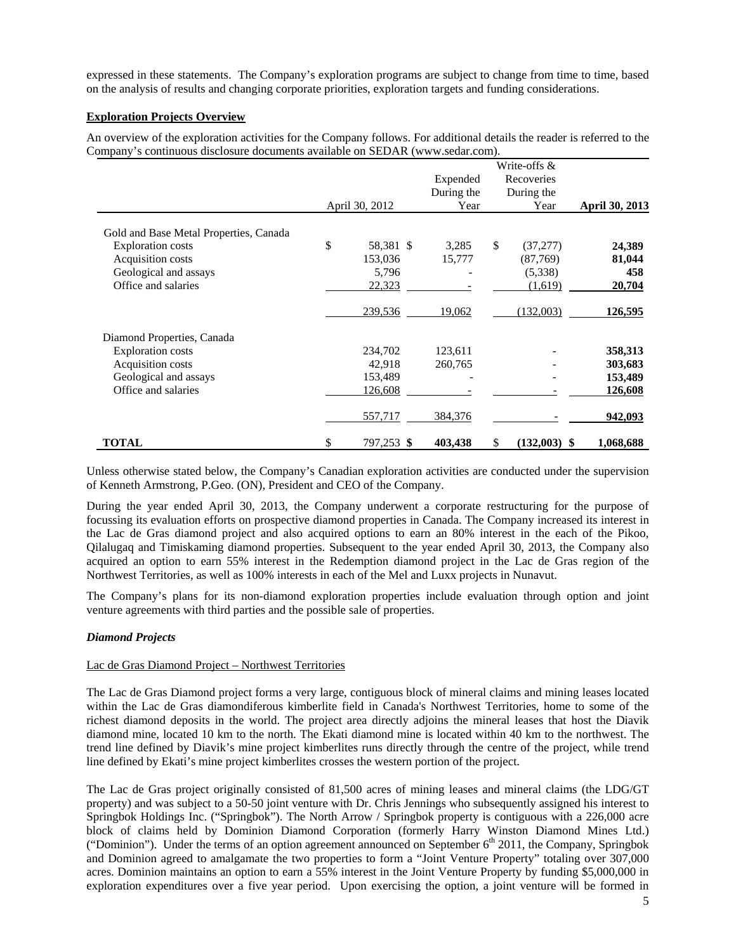expressed in these statements. The Company's exploration programs are subject to change from time to time, based on the analysis of results and changing corporate priorities, exploration targets and funding considerations.

# **Exploration Projects Overview**

An overview of the exploration activities for the Company follows. For additional details the reader is referred to the Company's continuous disclosure documents available on SEDAR (www.sedar.com).

|                                        |                  | Expended   | Write-offs &<br>Recoveries |                       |
|----------------------------------------|------------------|------------|----------------------------|-----------------------|
|                                        |                  | During the | During the                 |                       |
|                                        | April 30, 2012   | Year       | Year                       | <b>April 30, 2013</b> |
| Gold and Base Metal Properties, Canada |                  |            |                            |                       |
| <b>Exploration costs</b>               | \$<br>58,381 \$  | 3,285      | \$<br>(37,277)             | 24,389                |
| Acquisition costs                      | 153,036          | 15,777     | (87,769)                   | 81,044                |
| Geological and assays                  | 5,796            |            | (5,338)                    | 458                   |
| Office and salaries                    | 22,323           |            | (1,619)                    | 20,704                |
|                                        | 239,536          | 19,062     | (132,003)                  | <u>126,595</u>        |
| Diamond Properties, Canada             |                  |            |                            |                       |
| <b>Exploration costs</b>               | 234,702          | 123,611    |                            | 358,313               |
| Acquisition costs                      | 42,918           | 260,765    |                            | 303,683               |
| Geological and assays                  | 153,489          |            |                            | 153,489               |
| Office and salaries                    | 126,608          |            |                            | 126,608               |
|                                        | 557,717          | 384,376    |                            | 942,093               |
| <b>TOTAL</b>                           | \$<br>797,253 \$ | 403,438    | \$<br>$(132,003)$ \$       | 1,068,688             |

Unless otherwise stated below, the Company's Canadian exploration activities are conducted under the supervision of Kenneth Armstrong, P.Geo. (ON), President and CEO of the Company.

During the year ended April 30, 2013, the Company underwent a corporate restructuring for the purpose of focussing its evaluation efforts on prospective diamond properties in Canada. The Company increased its interest in the Lac de Gras diamond project and also acquired options to earn an 80% interest in the each of the Pikoo, Qilalugaq and Timiskaming diamond properties. Subsequent to the year ended April 30, 2013, the Company also acquired an option to earn 55% interest in the Redemption diamond project in the Lac de Gras region of the Northwest Territories, as well as 100% interests in each of the Mel and Luxx projects in Nunavut.

The Company's plans for its non-diamond exploration properties include evaluation through option and joint venture agreements with third parties and the possible sale of properties.

# *Diamond Projects*

# Lac de Gras Diamond Project – Northwest Territories

The Lac de Gras Diamond project forms a very large, contiguous block of mineral claims and mining leases located within the Lac de Gras diamondiferous kimberlite field in Canada's Northwest Territories, home to some of the richest diamond deposits in the world. The project area directly adjoins the mineral leases that host the Diavik diamond mine, located 10 km to the north. The Ekati diamond mine is located within 40 km to the northwest. The trend line defined by Diavik's mine project kimberlites runs directly through the centre of the project, while trend line defined by Ekati's mine project kimberlites crosses the western portion of the project.

The Lac de Gras project originally consisted of 81,500 acres of mining leases and mineral claims (the LDG/GT property) and was subject to a 50-50 joint venture with Dr. Chris Jennings who subsequently assigned his interest to Springbok Holdings Inc. ("Springbok"). The North Arrow / Springbok property is contiguous with a 226,000 acre block of claims held by Dominion Diamond Corporation (formerly Harry Winston Diamond Mines Ltd.) ("Dominion"). Under the terms of an option agreement announced on September  $6<sup>th</sup>$  2011, the Company, Springbok and Dominion agreed to amalgamate the two properties to form a "Joint Venture Property" totaling over 307,000 acres. Dominion maintains an option to earn a 55% interest in the Joint Venture Property by funding \$5,000,000 in exploration expenditures over a five year period. Upon exercising the option, a joint venture will be formed in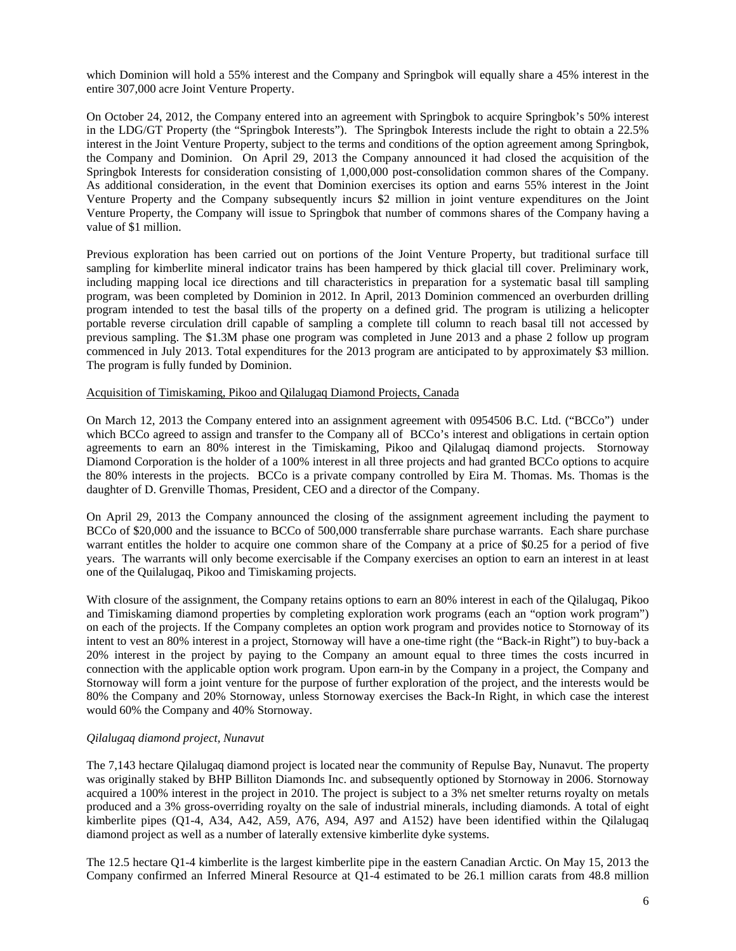which Dominion will hold a 55% interest and the Company and Springbok will equally share a 45% interest in the entire 307,000 acre Joint Venture Property.

On October 24, 2012, the Company entered into an agreement with Springbok to acquire Springbok's 50% interest in the LDG/GT Property (the "Springbok Interests"). The Springbok Interests include the right to obtain a 22.5% interest in the Joint Venture Property, subject to the terms and conditions of the option agreement among Springbok, the Company and Dominion. On April 29, 2013 the Company announced it had closed the acquisition of the Springbok Interests for consideration consisting of 1,000,000 post-consolidation common shares of the Company. As additional consideration, in the event that Dominion exercises its option and earns 55% interest in the Joint Venture Property and the Company subsequently incurs \$2 million in joint venture expenditures on the Joint Venture Property, the Company will issue to Springbok that number of commons shares of the Company having a value of \$1 million.

Previous exploration has been carried out on portions of the Joint Venture Property, but traditional surface till sampling for kimberlite mineral indicator trains has been hampered by thick glacial till cover. Preliminary work, including mapping local ice directions and till characteristics in preparation for a systematic basal till sampling program, was been completed by Dominion in 2012. In April, 2013 Dominion commenced an overburden drilling program intended to test the basal tills of the property on a defined grid. The program is utilizing a helicopter portable reverse circulation drill capable of sampling a complete till column to reach basal till not accessed by previous sampling. The \$1.3M phase one program was completed in June 2013 and a phase 2 follow up program commenced in July 2013. Total expenditures for the 2013 program are anticipated to by approximately \$3 million. The program is fully funded by Dominion.

#### Acquisition of Timiskaming, Pikoo and Qilalugaq Diamond Projects, Canada

On March 12, 2013 the Company entered into an assignment agreement with 0954506 B.C. Ltd. ("BCCo") under which BCCo agreed to assign and transfer to the Company all of BCCo's interest and obligations in certain option agreements to earn an 80% interest in the Timiskaming, Pikoo and Qilalugaq diamond projects. Stornoway Diamond Corporation is the holder of a 100% interest in all three projects and had granted BCCo options to acquire the 80% interests in the projects. BCCo is a private company controlled by Eira M. Thomas. Ms. Thomas is the daughter of D. Grenville Thomas, President, CEO and a director of the Company.

On April 29, 2013 the Company announced the closing of the assignment agreement including the payment to BCCo of \$20,000 and the issuance to BCCo of 500,000 transferrable share purchase warrants. Each share purchase warrant entitles the holder to acquire one common share of the Company at a price of \$0.25 for a period of five years. The warrants will only become exercisable if the Company exercises an option to earn an interest in at least one of the Quilalugaq, Pikoo and Timiskaming projects.

With closure of the assignment, the Company retains options to earn an 80% interest in each of the Qilalugaq, Pikoo and Timiskaming diamond properties by completing exploration work programs (each an "option work program") on each of the projects. If the Company completes an option work program and provides notice to Stornoway of its intent to vest an 80% interest in a project, Stornoway will have a one-time right (the "Back-in Right") to buy-back a 20% interest in the project by paying to the Company an amount equal to three times the costs incurred in connection with the applicable option work program. Upon earn-in by the Company in a project, the Company and Stornoway will form a joint venture for the purpose of further exploration of the project, and the interests would be 80% the Company and 20% Stornoway, unless Stornoway exercises the Back-In Right, in which case the interest would 60% the Company and 40% Stornoway.

#### *Qilalugaq diamond project, Nunavut*

The 7,143 hectare Qilalugaq diamond project is located near the community of Repulse Bay, Nunavut. The property was originally staked by BHP Billiton Diamonds Inc. and subsequently optioned by Stornoway in 2006. Stornoway acquired a 100% interest in the project in 2010. The project is subject to a 3% net smelter returns royalty on metals produced and a 3% gross-overriding royalty on the sale of industrial minerals, including diamonds. A total of eight kimberlite pipes (Q1-4, A34, A42, A59, A76, A94, A97 and A152) have been identified within the Qilalugaq diamond project as well as a number of laterally extensive kimberlite dyke systems.

The 12.5 hectare Q1-4 kimberlite is the largest kimberlite pipe in the eastern Canadian Arctic. On May 15, 2013 the Company confirmed an Inferred Mineral Resource at Q1-4 estimated to be 26.1 million carats from 48.8 million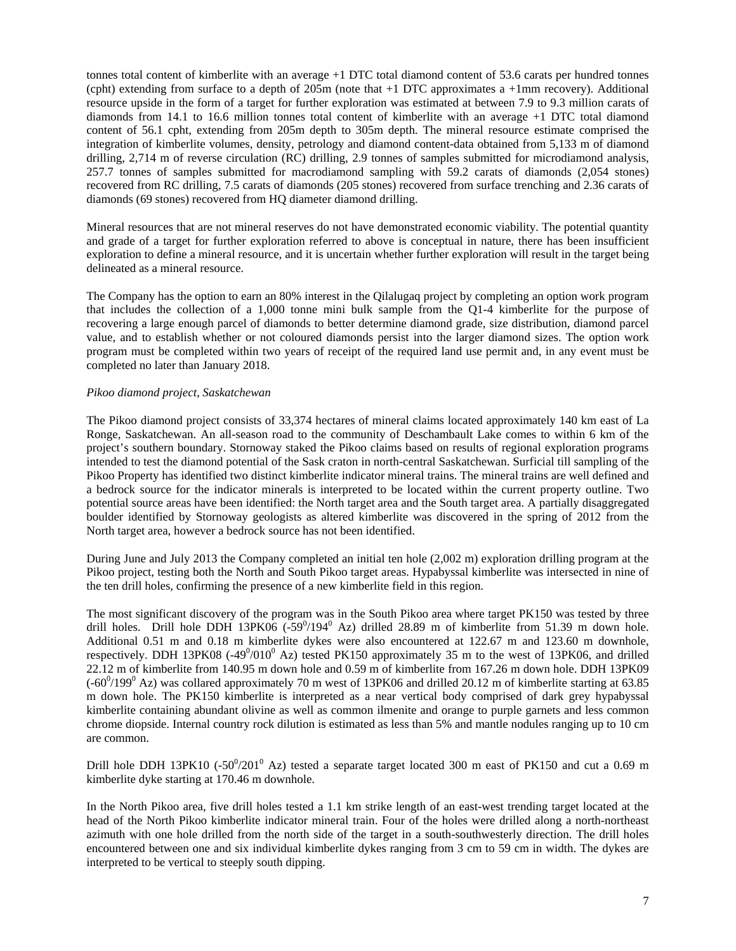tonnes total content of kimberlite with an average +1 DTC total diamond content of 53.6 carats per hundred tonnes (cpht) extending from surface to a depth of  $205m$  (note that  $+1$  DTC approximates a  $+1mm$  recovery). Additional resource upside in the form of a target for further exploration was estimated at between 7.9 to 9.3 million carats of diamonds from 14.1 to 16.6 million tonnes total content of kimberlite with an average +1 DTC total diamond content of 56.1 cpht, extending from 205m depth to 305m depth. The mineral resource estimate comprised the integration of kimberlite volumes, density, petrology and diamond content-data obtained from 5,133 m of diamond drilling, 2,714 m of reverse circulation (RC) drilling, 2.9 tonnes of samples submitted for microdiamond analysis, 257.7 tonnes of samples submitted for macrodiamond sampling with 59.2 carats of diamonds (2,054 stones) recovered from RC drilling, 7.5 carats of diamonds (205 stones) recovered from surface trenching and 2.36 carats of diamonds (69 stones) recovered from HQ diameter diamond drilling.

Mineral resources that are not mineral reserves do not have demonstrated economic viability. The potential quantity and grade of a target for further exploration referred to above is conceptual in nature, there has been insufficient exploration to define a mineral resource, and it is uncertain whether further exploration will result in the target being delineated as a mineral resource.

The Company has the option to earn an 80% interest in the Qilalugaq project by completing an option work program that includes the collection of a 1,000 tonne mini bulk sample from the Q1-4 kimberlite for the purpose of recovering a large enough parcel of diamonds to better determine diamond grade, size distribution, diamond parcel value, and to establish whether or not coloured diamonds persist into the larger diamond sizes. The option work program must be completed within two years of receipt of the required land use permit and, in any event must be completed no later than January 2018.

## *Pikoo diamond project, Saskatchewan*

The Pikoo diamond project consists of 33,374 hectares of mineral claims located approximately 140 km east of La Ronge, Saskatchewan. An all-season road to the community of Deschambault Lake comes to within 6 km of the project's southern boundary. Stornoway staked the Pikoo claims based on results of regional exploration programs intended to test the diamond potential of the Sask craton in north-central Saskatchewan. Surficial till sampling of the Pikoo Property has identified two distinct kimberlite indicator mineral trains. The mineral trains are well defined and a bedrock source for the indicator minerals is interpreted to be located within the current property outline. Two potential source areas have been identified: the North target area and the South target area. A partially disaggregated boulder identified by Stornoway geologists as altered kimberlite was discovered in the spring of 2012 from the North target area, however a bedrock source has not been identified.

During June and July 2013 the Company completed an initial ten hole (2,002 m) exploration drilling program at the Pikoo project, testing both the North and South Pikoo target areas. Hypabyssal kimberlite was intersected in nine of the ten drill holes, confirming the presence of a new kimberlite field in this region.

The most significant discovery of the program was in the South Pikoo area where target PK150 was tested by three drill holes. Drill hole DDH 13PK06  $(-59^0/194^0$  Az) drilled 28.89 m of kimberlite from 51.39 m down hole. Additional 0.51 m and 0.18 m kimberlite dykes were also encountered at 122.67 m and 123.60 m downhole, respectively. DDH 13PK08  $(-49^0/010^0)$  Az) tested PK150 approximately 35 m to the west of 13PK06, and drilled 22.12 m of kimberlite from 140.95 m down hole and 0.59 m of kimberlite from 167.26 m down hole. DDH 13PK09  $(-60^{\circ}/199^{\circ}$  Az) was collared approximately 70 m west of 13PK06 and drilled 20.12 m of kimberlite starting at 63.85 m down hole. The PK150 kimberlite is interpreted as a near vertical body comprised of dark grey hypabyssal kimberlite containing abundant olivine as well as common ilmenite and orange to purple garnets and less common chrome diopside. Internal country rock dilution is estimated as less than 5% and mantle nodules ranging up to 10 cm are common.

Drill hole DDH 13PK10 (-50 $^{0}/201^{0}$  Az) tested a separate target located 300 m east of PK150 and cut a 0.69 m kimberlite dyke starting at 170.46 m downhole.

In the North Pikoo area, five drill holes tested a 1.1 km strike length of an east-west trending target located at the head of the North Pikoo kimberlite indicator mineral train. Four of the holes were drilled along a north-northeast azimuth with one hole drilled from the north side of the target in a south-southwesterly direction. The drill holes encountered between one and six individual kimberlite dykes ranging from 3 cm to 59 cm in width. The dykes are interpreted to be vertical to steeply south dipping.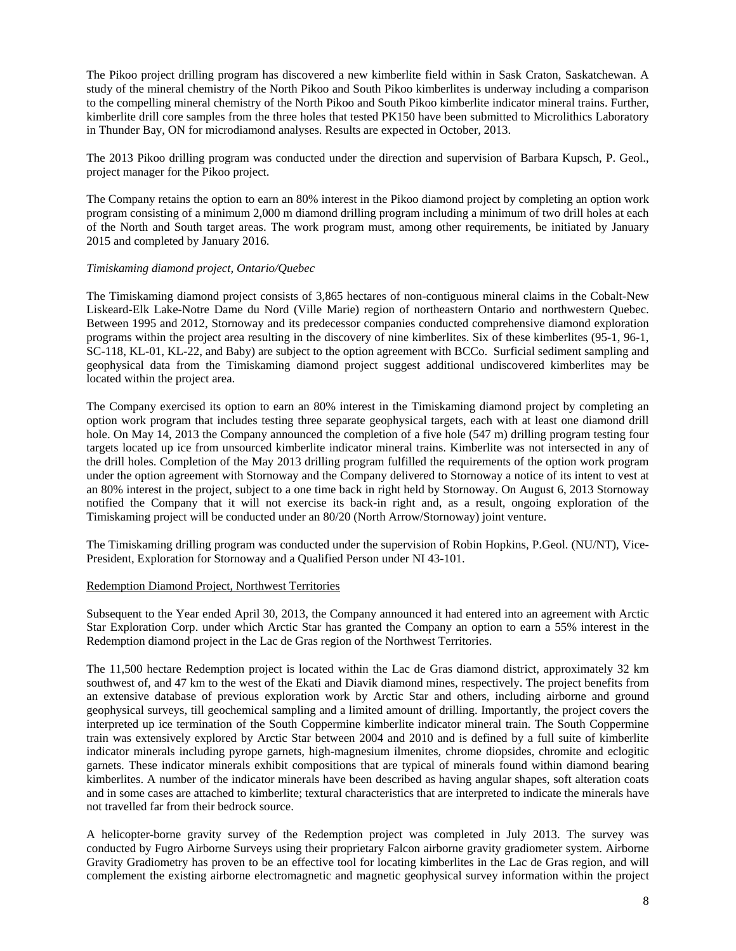The Pikoo project drilling program has discovered a new kimberlite field within in Sask Craton, Saskatchewan. A study of the mineral chemistry of the North Pikoo and South Pikoo kimberlites is underway including a comparison to the compelling mineral chemistry of the North Pikoo and South Pikoo kimberlite indicator mineral trains. Further, kimberlite drill core samples from the three holes that tested PK150 have been submitted to Microlithics Laboratory in Thunder Bay, ON for microdiamond analyses. Results are expected in October, 2013.

The 2013 Pikoo drilling program was conducted under the direction and supervision of Barbara Kupsch, P. Geol., project manager for the Pikoo project.

The Company retains the option to earn an 80% interest in the Pikoo diamond project by completing an option work program consisting of a minimum 2,000 m diamond drilling program including a minimum of two drill holes at each of the North and South target areas. The work program must, among other requirements, be initiated by January 2015 and completed by January 2016.

## *Timiskaming diamond project, Ontario/Quebec*

The Timiskaming diamond project consists of 3,865 hectares of non-contiguous mineral claims in the Cobalt-New Liskeard-Elk Lake-Notre Dame du Nord (Ville Marie) region of northeastern Ontario and northwestern Quebec. Between 1995 and 2012, Stornoway and its predecessor companies conducted comprehensive diamond exploration programs within the project area resulting in the discovery of nine kimberlites. Six of these kimberlites (95-1, 96-1, SC-118, KL-01, KL-22, and Baby) are subject to the option agreement with BCCo. Surficial sediment sampling and geophysical data from the Timiskaming diamond project suggest additional undiscovered kimberlites may be located within the project area.

The Company exercised its option to earn an 80% interest in the Timiskaming diamond project by completing an option work program that includes testing three separate geophysical targets, each with at least one diamond drill hole. On May 14, 2013 the Company announced the completion of a five hole (547 m) drilling program testing four targets located up ice from unsourced kimberlite indicator mineral trains. Kimberlite was not intersected in any of the drill holes. Completion of the May 2013 drilling program fulfilled the requirements of the option work program under the option agreement with Stornoway and the Company delivered to Stornoway a notice of its intent to vest at an 80% interest in the project, subject to a one time back in right held by Stornoway. On August 6, 2013 Stornoway notified the Company that it will not exercise its back-in right and, as a result, ongoing exploration of the Timiskaming project will be conducted under an 80/20 (North Arrow/Stornoway) joint venture.

The Timiskaming drilling program was conducted under the supervision of Robin Hopkins, P.Geol. (NU/NT), Vice-President, Exploration for Stornoway and a Qualified Person under NI 43-101.

#### Redemption Diamond Project, Northwest Territories

Subsequent to the Year ended April 30, 2013, the Company announced it had entered into an agreement with Arctic Star Exploration Corp. under which Arctic Star has granted the Company an option to earn a 55% interest in the Redemption diamond project in the Lac de Gras region of the Northwest Territories.

The 11,500 hectare Redemption project is located within the Lac de Gras diamond district, approximately 32 km southwest of, and 47 km to the west of the Ekati and Diavik diamond mines, respectively. The project benefits from an extensive database of previous exploration work by Arctic Star and others, including airborne and ground geophysical surveys, till geochemical sampling and a limited amount of drilling. Importantly, the project covers the interpreted up ice termination of the South Coppermine kimberlite indicator mineral train. The South Coppermine train was extensively explored by Arctic Star between 2004 and 2010 and is defined by a full suite of kimberlite indicator minerals including pyrope garnets, high-magnesium ilmenites, chrome diopsides, chromite and eclogitic garnets. These indicator minerals exhibit compositions that are typical of minerals found within diamond bearing kimberlites. A number of the indicator minerals have been described as having angular shapes, soft alteration coats and in some cases are attached to kimberlite; textural characteristics that are interpreted to indicate the minerals have not travelled far from their bedrock source.

A helicopter-borne gravity survey of the Redemption project was completed in July 2013. The survey was conducted by Fugro Airborne Surveys using their proprietary Falcon airborne gravity gradiometer system. Airborne Gravity Gradiometry has proven to be an effective tool for locating kimberlites in the Lac de Gras region, and will complement the existing airborne electromagnetic and magnetic geophysical survey information within the project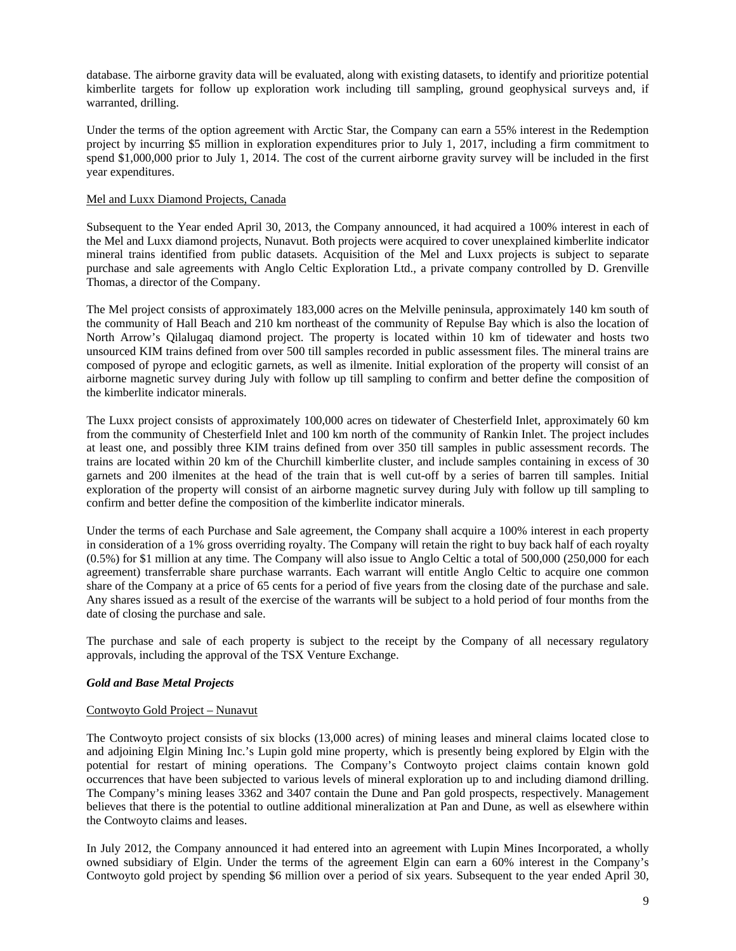database. The airborne gravity data will be evaluated, along with existing datasets, to identify and prioritize potential kimberlite targets for follow up exploration work including till sampling, ground geophysical surveys and, if warranted, drilling.

Under the terms of the option agreement with Arctic Star, the Company can earn a 55% interest in the Redemption project by incurring \$5 million in exploration expenditures prior to July 1, 2017, including a firm commitment to spend \$1,000,000 prior to July 1, 2014. The cost of the current airborne gravity survey will be included in the first year expenditures.

## Mel and Luxx Diamond Projects, Canada

Subsequent to the Year ended April 30, 2013, the Company announced, it had acquired a 100% interest in each of the Mel and Luxx diamond projects, Nunavut. Both projects were acquired to cover unexplained kimberlite indicator mineral trains identified from public datasets. Acquisition of the Mel and Luxx projects is subject to separate purchase and sale agreements with Anglo Celtic Exploration Ltd., a private company controlled by D. Grenville Thomas, a director of the Company.

The Mel project consists of approximately 183,000 acres on the Melville peninsula, approximately 140 km south of the community of Hall Beach and 210 km northeast of the community of Repulse Bay which is also the location of North Arrow's Qilalugaq diamond project. The property is located within 10 km of tidewater and hosts two unsourced KIM trains defined from over 500 till samples recorded in public assessment files. The mineral trains are composed of pyrope and eclogitic garnets, as well as ilmenite. Initial exploration of the property will consist of an airborne magnetic survey during July with follow up till sampling to confirm and better define the composition of the kimberlite indicator minerals.

The Luxx project consists of approximately 100,000 acres on tidewater of Chesterfield Inlet, approximately 60 km from the community of Chesterfield Inlet and 100 km north of the community of Rankin Inlet. The project includes at least one, and possibly three KIM trains defined from over 350 till samples in public assessment records. The trains are located within 20 km of the Churchill kimberlite cluster, and include samples containing in excess of 30 garnets and 200 ilmenites at the head of the train that is well cut-off by a series of barren till samples. Initial exploration of the property will consist of an airborne magnetic survey during July with follow up till sampling to confirm and better define the composition of the kimberlite indicator minerals.

Under the terms of each Purchase and Sale agreement, the Company shall acquire a 100% interest in each property in consideration of a 1% gross overriding royalty. The Company will retain the right to buy back half of each royalty (0.5%) for \$1 million at any time. The Company will also issue to Anglo Celtic a total of 500,000 (250,000 for each agreement) transferrable share purchase warrants. Each warrant will entitle Anglo Celtic to acquire one common share of the Company at a price of 65 cents for a period of five years from the closing date of the purchase and sale. Any shares issued as a result of the exercise of the warrants will be subject to a hold period of four months from the date of closing the purchase and sale.

The purchase and sale of each property is subject to the receipt by the Company of all necessary regulatory approvals, including the approval of the TSX Venture Exchange.

# *Gold and Base Metal Projects*

#### Contwoyto Gold Project – Nunavut

The Contwoyto project consists of six blocks (13,000 acres) of mining leases and mineral claims located close to and adjoining Elgin Mining Inc.'s Lupin gold mine property, which is presently being explored by Elgin with the potential for restart of mining operations. The Company's Contwoyto project claims contain known gold occurrences that have been subjected to various levels of mineral exploration up to and including diamond drilling. The Company's mining leases 3362 and 3407 contain the Dune and Pan gold prospects, respectively. Management believes that there is the potential to outline additional mineralization at Pan and Dune, as well as elsewhere within the Contwoyto claims and leases.

In July 2012, the Company announced it had entered into an agreement with Lupin Mines Incorporated, a wholly owned subsidiary of Elgin. Under the terms of the agreement Elgin can earn a 60% interest in the Company's Contwoyto gold project by spending \$6 million over a period of six years. Subsequent to the year ended April 30,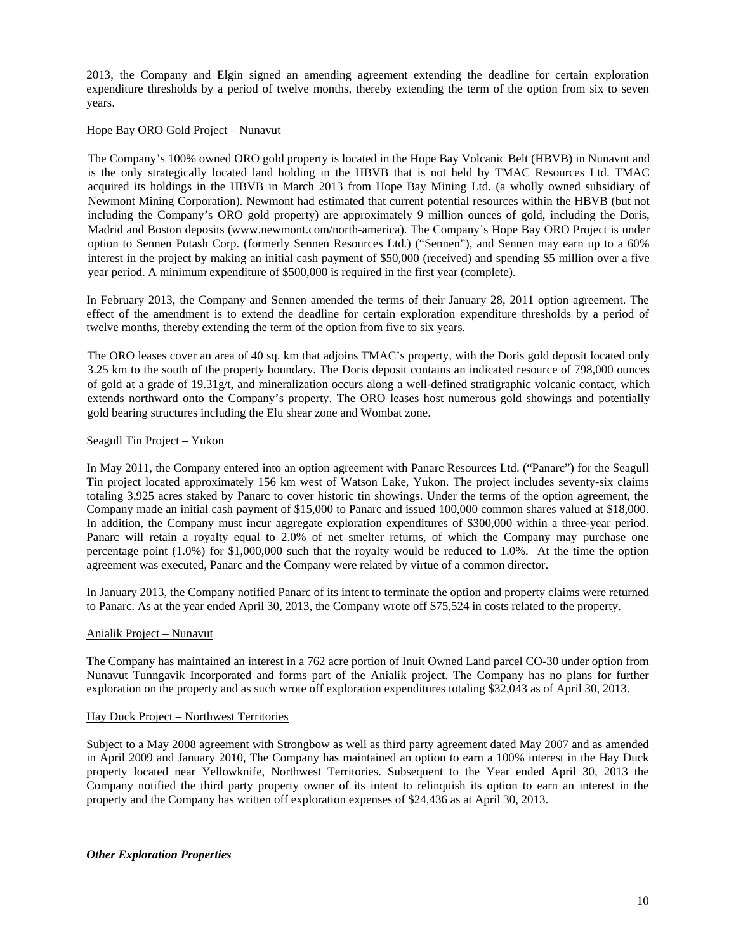2013, the Company and Elgin signed an amending agreement extending the deadline for certain exploration expenditure thresholds by a period of twelve months, thereby extending the term of the option from six to seven years.

## Hope Bay ORO Gold Project – Nunavut

The Company's 100% owned ORO gold property is located in the Hope Bay Volcanic Belt (HBVB) in Nunavut and is the only strategically located land holding in the HBVB that is not held by TMAC Resources Ltd. TMAC acquired its holdings in the HBVB in March 2013 from Hope Bay Mining Ltd. (a wholly owned subsidiary of Newmont Mining Corporation). Newmont had estimated that current potential resources within the HBVB (but not including the Company's ORO gold property) are approximately 9 million ounces of gold, including the Doris, Madrid and Boston deposits (www.newmont.com/north-america). The Company's Hope Bay ORO Project is under option to Sennen Potash Corp. (formerly Sennen Resources Ltd.) ("Sennen"), and Sennen may earn up to a 60% interest in the project by making an initial cash payment of \$50,000 (received) and spending \$5 million over a five year period. A minimum expenditure of \$500,000 is required in the first year (complete).

In February 2013, the Company and Sennen amended the terms of their January 28, 2011 option agreement. The effect of the amendment is to extend the deadline for certain exploration expenditure thresholds by a period of twelve months, thereby extending the term of the option from five to six years.

The ORO leases cover an area of 40 sq. km that adjoins TMAC's property, with the Doris gold deposit located only 3.25 km to the south of the property boundary. The Doris deposit contains an indicated resource of 798,000 ounces of gold at a grade of 19.31g/t, and mineralization occurs along a well-defined stratigraphic volcanic contact, which extends northward onto the Company's property. The ORO leases host numerous gold showings and potentially gold bearing structures including the Elu shear zone and Wombat zone.

## Seagull Tin Project – Yukon

In May 2011, the Company entered into an option agreement with Panarc Resources Ltd. ("Panarc") for the Seagull Tin project located approximately 156 km west of Watson Lake, Yukon. The project includes seventy-six claims totaling 3,925 acres staked by Panarc to cover historic tin showings. Under the terms of the option agreement, the Company made an initial cash payment of \$15,000 to Panarc and issued 100,000 common shares valued at \$18,000. In addition, the Company must incur aggregate exploration expenditures of \$300,000 within a three-year period. Panarc will retain a royalty equal to 2.0% of net smelter returns, of which the Company may purchase one percentage point (1.0%) for \$1,000,000 such that the royalty would be reduced to 1.0%. At the time the option agreement was executed, Panarc and the Company were related by virtue of a common director.

In January 2013, the Company notified Panarc of its intent to terminate the option and property claims were returned to Panarc. As at the year ended April 30, 2013, the Company wrote off \$75,524 in costs related to the property.

## Anialik Project – Nunavut

The Company has maintained an interest in a 762 acre portion of Inuit Owned Land parcel CO-30 under option from Nunavut Tunngavik Incorporated and forms part of the Anialik project. The Company has no plans for further exploration on the property and as such wrote off exploration expenditures totaling \$32,043 as of April 30, 2013.

#### Hay Duck Project – Northwest Territories

Subject to a May 2008 agreement with Strongbow as well as third party agreement dated May 2007 and as amended in April 2009 and January 2010, The Company has maintained an option to earn a 100% interest in the Hay Duck property located near Yellowknife, Northwest Territories. Subsequent to the Year ended April 30, 2013 the Company notified the third party property owner of its intent to relinquish its option to earn an interest in the property and the Company has written off exploration expenses of \$24,436 as at April 30, 2013.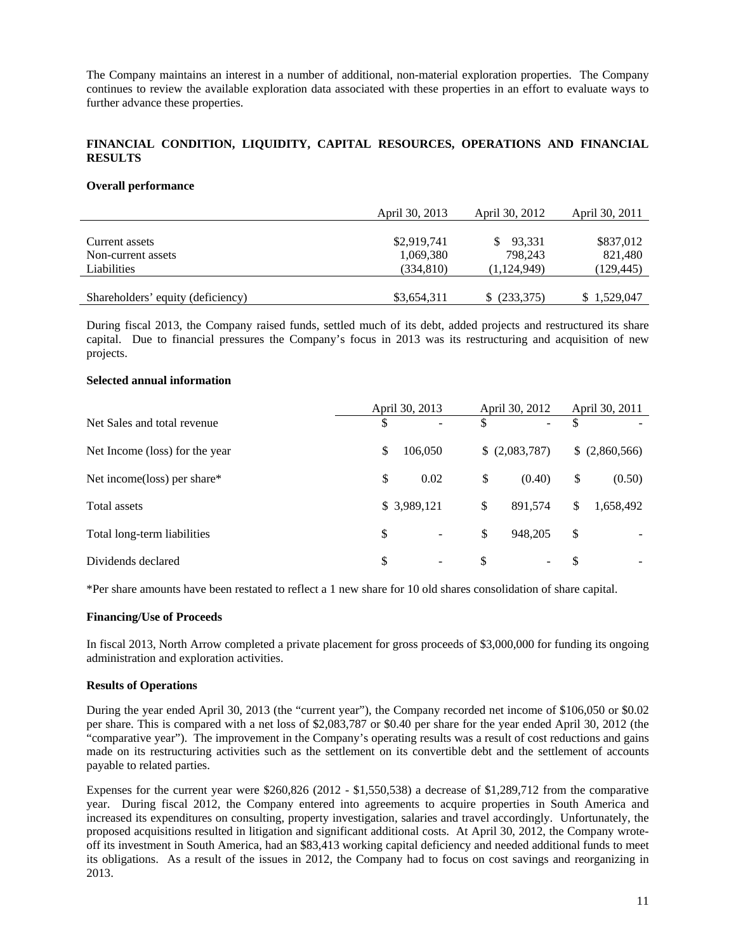The Company maintains an interest in a number of additional, non-material exploration properties. The Company continues to review the available exploration data associated with these properties in an effort to evaluate ways to further advance these properties.

# **FINANCIAL CONDITION, LIQUIDITY, CAPITAL RESOURCES, OPERATIONS AND FINANCIAL RESULTS**

#### **Overall performance**

|                                   | April 30, 2013 | April 30, 2012 | April 30, 2011 |
|-----------------------------------|----------------|----------------|----------------|
| Current assets                    | \$2,919,741    | 93,331         | \$837,012      |
| Non-current assets                | 1,069,380      | 798.243        | 821,480        |
| Liabilities                       | (334, 810)     | (1,124,949)    | (129, 445)     |
| Shareholders' equity (deficiency) | \$3,654,311    | (233,375)      | \$1,529,047    |

During fiscal 2013, the Company raised funds, settled much of its debt, added projects and restructured its share capital. Due to financial pressures the Company's focus in 2013 was its restructuring and acquisition of new projects.

#### **Selected annual information**

|                                | April 30, 2013                 | April 30, 2012                 | April 30, 2011  |
|--------------------------------|--------------------------------|--------------------------------|-----------------|
| Net Sales and total revenue    | \$                             | \$<br>$\overline{\phantom{a}}$ | \$              |
| Net Income (loss) for the year | \$<br>106,050                  | \$ (2,083,787)                 | (2,860,566)     |
| Net income(loss) per share*    | \$<br>0.02                     | (0.40)<br>\$                   | \$<br>(0.50)    |
| Total assets                   | \$ 3,989,121                   | \$<br>891.574                  | 1,658,492<br>\$ |
| Total long-term liabilities    | \$                             | \$<br>948.205                  | \$              |
| Dividends declared             | \$<br>$\overline{\phantom{a}}$ | S<br>$\overline{\phantom{0}}$  | \$              |

\*Per share amounts have been restated to reflect a 1 new share for 10 old shares consolidation of share capital.

#### **Financing/Use of Proceeds**

In fiscal 2013, North Arrow completed a private placement for gross proceeds of \$3,000,000 for funding its ongoing administration and exploration activities.

#### **Results of Operations**

During the year ended April 30, 2013 (the "current year"), the Company recorded net income of \$106,050 or \$0.02 per share. This is compared with a net loss of \$2,083,787 or \$0.40 per share for the year ended April 30, 2012 (the "comparative year"). The improvement in the Company's operating results was a result of cost reductions and gains made on its restructuring activities such as the settlement on its convertible debt and the settlement of accounts payable to related parties.

Expenses for the current year were \$260,826 (2012 - \$1,550,538) a decrease of \$1,289,712 from the comparative year. During fiscal 2012, the Company entered into agreements to acquire properties in South America and increased its expenditures on consulting, property investigation, salaries and travel accordingly. Unfortunately, the proposed acquisitions resulted in litigation and significant additional costs. At April 30, 2012, the Company wroteoff its investment in South America, had an \$83,413 working capital deficiency and needed additional funds to meet its obligations. As a result of the issues in 2012, the Company had to focus on cost savings and reorganizing in 2013.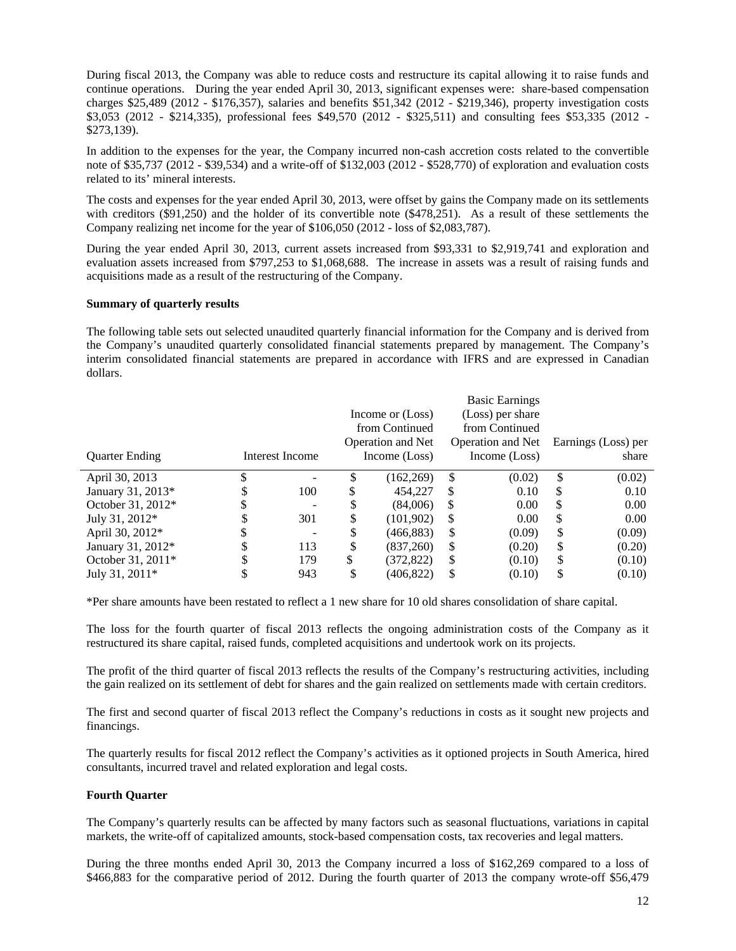During fiscal 2013, the Company was able to reduce costs and restructure its capital allowing it to raise funds and continue operations. During the year ended April 30, 2013, significant expenses were: share-based compensation charges \$25,489 (2012 - \$176,357), salaries and benefits \$51,342 (2012 - \$219,346), property investigation costs \$3,053 (2012 - \$214,335), professional fees \$49,570 (2012 - \$325,511) and consulting fees \$53,335 (2012 - \$273,139).

In addition to the expenses for the year, the Company incurred non-cash accretion costs related to the convertible note of \$35,737 (2012 - \$39,534) and a write-off of \$132,003 (2012 - \$528,770) of exploration and evaluation costs related to its' mineral interests.

The costs and expenses for the year ended April 30, 2013, were offset by gains the Company made on its settlements with creditors (\$91,250) and the holder of its convertible note (\$478,251). As a result of these settlements the Company realizing net income for the year of \$106,050 (2012 - loss of \$2,083,787).

During the year ended April 30, 2013, current assets increased from \$93,331 to \$2,919,741 and exploration and evaluation assets increased from \$797,253 to \$1,068,688. The increase in assets was a result of raising funds and acquisitions made as a result of the restructuring of the Company.

#### **Summary of quarterly results**

The following table sets out selected unaudited quarterly financial information for the Company and is derived from the Company's unaudited quarterly consolidated financial statements prepared by management. The Company's interim consolidated financial statements are prepared in accordance with IFRS and are expressed in Canadian dollars.

|                       |                 |    |                          |    | <b>Basic Earnings</b> |          |                     |
|-----------------------|-----------------|----|--------------------------|----|-----------------------|----------|---------------------|
|                       |                 |    | Income or (Loss)         |    | (Loss) per share      |          |                     |
|                       |                 |    | from Continued           |    | from Continued        |          |                     |
|                       |                 |    | <b>Operation and Net</b> |    | Operation and Net     |          | Earnings (Loss) per |
| <b>Quarter Ending</b> | Interest Income |    | Income (Loss)            |    | Income (Loss)         |          | share               |
| April 30, 2013        |                 |    | (162, 269)               | \$ | (0.02)                | \$       | (0.02)              |
| January 31, 2013*     | 100             |    | 454,227                  | \$ | 0.10                  | S        | 0.10                |
| October 31, 2012*     | -               | S  | (84,006)                 | S  | 0.00                  | <b>S</b> | 0.00                |
| July 31, 2012*        | 301             | S  | (101, 902)               | S  | 0.00                  | S        | 0.00                |
| April 30, 2012*       |                 | S  | (466, 883)               | \$ | (0.09)                | \$       | (0.09)              |
| January 31, 2012*     | 113             | \$ | (837,260)                | \$ | (0.20)                | \$       | (0.20)              |
| October 31, 2011*     | 179             | \$ | (372, 822)               | \$ | (0.10)                | \$       | (0.10)              |
| July 31, 2011*        | 943             |    | (406,822)                | S  | (0.10)                |          | (0.10)              |

\*Per share amounts have been restated to reflect a 1 new share for 10 old shares consolidation of share capital.

The loss for the fourth quarter of fiscal 2013 reflects the ongoing administration costs of the Company as it restructured its share capital, raised funds, completed acquisitions and undertook work on its projects.

The profit of the third quarter of fiscal 2013 reflects the results of the Company's restructuring activities, including the gain realized on its settlement of debt for shares and the gain realized on settlements made with certain creditors.

The first and second quarter of fiscal 2013 reflect the Company's reductions in costs as it sought new projects and financings.

The quarterly results for fiscal 2012 reflect the Company's activities as it optioned projects in South America, hired consultants, incurred travel and related exploration and legal costs.

#### **Fourth Quarter**

The Company's quarterly results can be affected by many factors such as seasonal fluctuations, variations in capital markets, the write-off of capitalized amounts, stock-based compensation costs, tax recoveries and legal matters.

During the three months ended April 30, 2013 the Company incurred a loss of \$162,269 compared to a loss of \$466,883 for the comparative period of 2012. During the fourth quarter of 2013 the company wrote-off \$56,479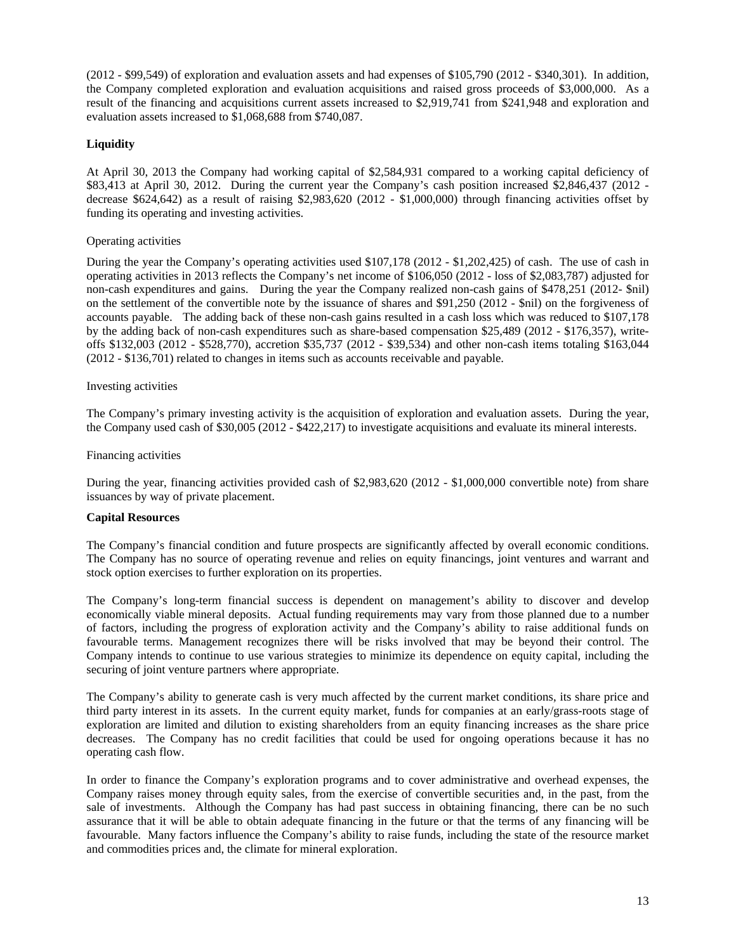(2012 - \$99,549) of exploration and evaluation assets and had expenses of \$105,790 (2012 - \$340,301). In addition, the Company completed exploration and evaluation acquisitions and raised gross proceeds of \$3,000,000. As a result of the financing and acquisitions current assets increased to \$2,919,741 from \$241,948 and exploration and evaluation assets increased to \$1,068,688 from \$740,087.

# **Liquidity**

At April 30, 2013 the Company had working capital of \$2,584,931 compared to a working capital deficiency of \$83,413 at April 30, 2012. During the current year the Company's cash position increased \$2,846,437 (2012 decrease \$624,642) as a result of raising \$2,983,620 (2012 - \$1,000,000) through financing activities offset by funding its operating and investing activities.

# Operating activities

During the year the Company's operating activities used \$107,178 (2012 - \$1,202,425) of cash. The use of cash in operating activities in 2013 reflects the Company's net income of \$106,050 (2012 - loss of \$2,083,787) adjusted for non-cash expenditures and gains. During the year the Company realized non-cash gains of \$478,251 (2012- \$nil) on the settlement of the convertible note by the issuance of shares and \$91,250 (2012 - \$nil) on the forgiveness of accounts payable. The adding back of these non-cash gains resulted in a cash loss which was reduced to \$107,178 by the adding back of non-cash expenditures such as share-based compensation \$25,489 (2012 - \$176,357), writeoffs \$132,003 (2012 - \$528,770), accretion \$35,737 (2012 - \$39,534) and other non-cash items totaling \$163,044 (2012 - \$136,701) related to changes in items such as accounts receivable and payable.

## Investing activities

The Company's primary investing activity is the acquisition of exploration and evaluation assets. During the year, the Company used cash of \$30,005 (2012 - \$422,217) to investigate acquisitions and evaluate its mineral interests.

## Financing activities

During the year, financing activities provided cash of \$2,983,620 (2012 - \$1,000,000 convertible note) from share issuances by way of private placement.

#### **Capital Resources**

The Company's financial condition and future prospects are significantly affected by overall economic conditions. The Company has no source of operating revenue and relies on equity financings, joint ventures and warrant and stock option exercises to further exploration on its properties.

The Company's long-term financial success is dependent on management's ability to discover and develop economically viable mineral deposits. Actual funding requirements may vary from those planned due to a number of factors, including the progress of exploration activity and the Company's ability to raise additional funds on favourable terms. Management recognizes there will be risks involved that may be beyond their control. The Company intends to continue to use various strategies to minimize its dependence on equity capital, including the securing of joint venture partners where appropriate.

The Company's ability to generate cash is very much affected by the current market conditions, its share price and third party interest in its assets. In the current equity market, funds for companies at an early/grass-roots stage of exploration are limited and dilution to existing shareholders from an equity financing increases as the share price decreases. The Company has no credit facilities that could be used for ongoing operations because it has no operating cash flow.

In order to finance the Company's exploration programs and to cover administrative and overhead expenses, the Company raises money through equity sales, from the exercise of convertible securities and, in the past, from the sale of investments. Although the Company has had past success in obtaining financing, there can be no such assurance that it will be able to obtain adequate financing in the future or that the terms of any financing will be favourable. Many factors influence the Company's ability to raise funds, including the state of the resource market and commodities prices and, the climate for mineral exploration.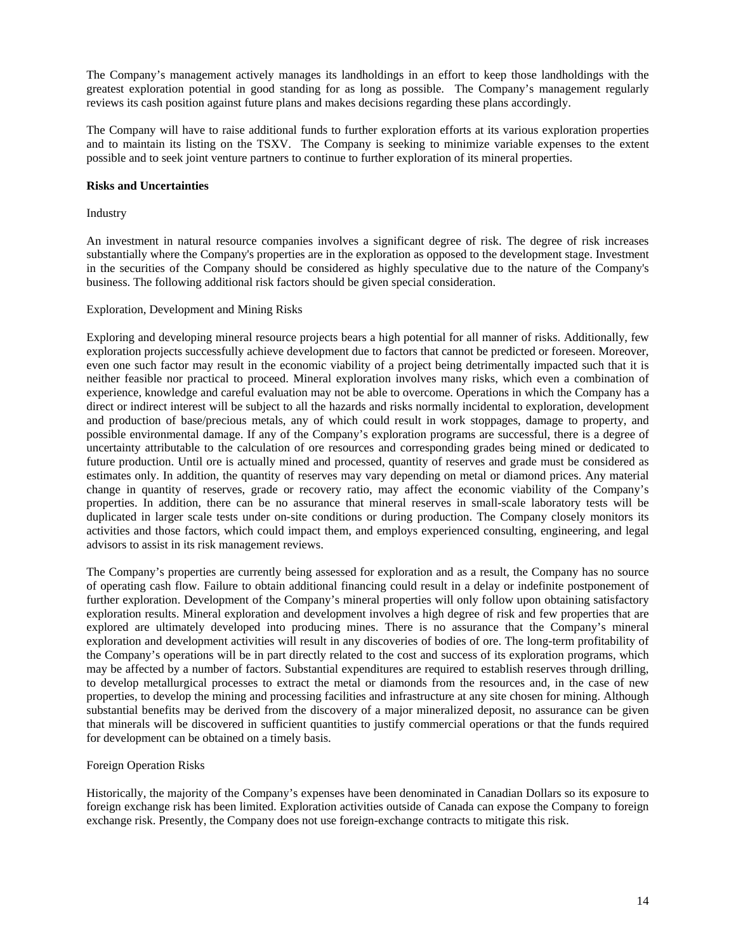The Company's management actively manages its landholdings in an effort to keep those landholdings with the greatest exploration potential in good standing for as long as possible. The Company's management regularly reviews its cash position against future plans and makes decisions regarding these plans accordingly.

The Company will have to raise additional funds to further exploration efforts at its various exploration properties and to maintain its listing on the TSXV. The Company is seeking to minimize variable expenses to the extent possible and to seek joint venture partners to continue to further exploration of its mineral properties.

## **Risks and Uncertainties**

#### Industry

An investment in natural resource companies involves a significant degree of risk. The degree of risk increases substantially where the Company's properties are in the exploration as opposed to the development stage. Investment in the securities of the Company should be considered as highly speculative due to the nature of the Company's business. The following additional risk factors should be given special consideration.

## Exploration, Development and Mining Risks

Exploring and developing mineral resource projects bears a high potential for all manner of risks. Additionally, few exploration projects successfully achieve development due to factors that cannot be predicted or foreseen. Moreover, even one such factor may result in the economic viability of a project being detrimentally impacted such that it is neither feasible nor practical to proceed. Mineral exploration involves many risks, which even a combination of experience, knowledge and careful evaluation may not be able to overcome. Operations in which the Company has a direct or indirect interest will be subject to all the hazards and risks normally incidental to exploration, development and production of base/precious metals, any of which could result in work stoppages, damage to property, and possible environmental damage. If any of the Company's exploration programs are successful, there is a degree of uncertainty attributable to the calculation of ore resources and corresponding grades being mined or dedicated to future production. Until ore is actually mined and processed, quantity of reserves and grade must be considered as estimates only. In addition, the quantity of reserves may vary depending on metal or diamond prices. Any material change in quantity of reserves, grade or recovery ratio, may affect the economic viability of the Company's properties. In addition, there can be no assurance that mineral reserves in small-scale laboratory tests will be duplicated in larger scale tests under on-site conditions or during production. The Company closely monitors its activities and those factors, which could impact them, and employs experienced consulting, engineering, and legal advisors to assist in its risk management reviews.

The Company's properties are currently being assessed for exploration and as a result, the Company has no source of operating cash flow. Failure to obtain additional financing could result in a delay or indefinite postponement of further exploration. Development of the Company's mineral properties will only follow upon obtaining satisfactory exploration results. Mineral exploration and development involves a high degree of risk and few properties that are explored are ultimately developed into producing mines. There is no assurance that the Company's mineral exploration and development activities will result in any discoveries of bodies of ore. The long-term profitability of the Company's operations will be in part directly related to the cost and success of its exploration programs, which may be affected by a number of factors. Substantial expenditures are required to establish reserves through drilling, to develop metallurgical processes to extract the metal or diamonds from the resources and, in the case of new properties, to develop the mining and processing facilities and infrastructure at any site chosen for mining. Although substantial benefits may be derived from the discovery of a major mineralized deposit, no assurance can be given that minerals will be discovered in sufficient quantities to justify commercial operations or that the funds required for development can be obtained on a timely basis.

#### Foreign Operation Risks

Historically, the majority of the Company's expenses have been denominated in Canadian Dollars so its exposure to foreign exchange risk has been limited. Exploration activities outside of Canada can expose the Company to foreign exchange risk. Presently, the Company does not use foreign-exchange contracts to mitigate this risk.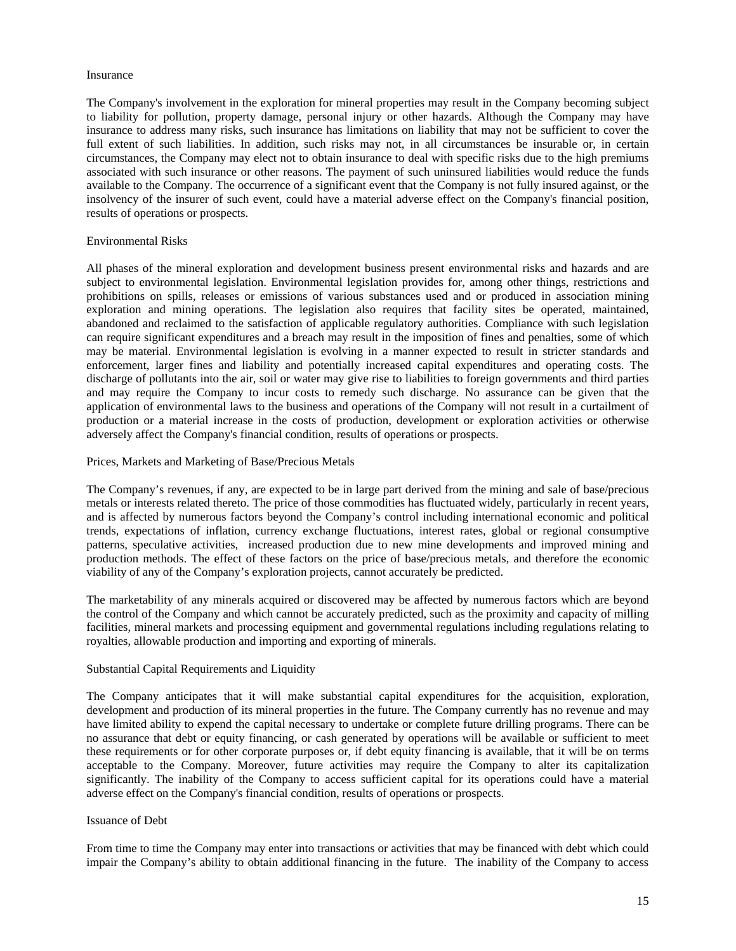#### Insurance

The Company's involvement in the exploration for mineral properties may result in the Company becoming subject to liability for pollution, property damage, personal injury or other hazards. Although the Company may have insurance to address many risks, such insurance has limitations on liability that may not be sufficient to cover the full extent of such liabilities. In addition, such risks may not, in all circumstances be insurable or, in certain circumstances, the Company may elect not to obtain insurance to deal with specific risks due to the high premiums associated with such insurance or other reasons. The payment of such uninsured liabilities would reduce the funds available to the Company. The occurrence of a significant event that the Company is not fully insured against, or the insolvency of the insurer of such event, could have a material adverse effect on the Company's financial position, results of operations or prospects.

## Environmental Risks

All phases of the mineral exploration and development business present environmental risks and hazards and are subject to environmental legislation. Environmental legislation provides for, among other things, restrictions and prohibitions on spills, releases or emissions of various substances used and or produced in association mining exploration and mining operations. The legislation also requires that facility sites be operated, maintained, abandoned and reclaimed to the satisfaction of applicable regulatory authorities. Compliance with such legislation can require significant expenditures and a breach may result in the imposition of fines and penalties, some of which may be material. Environmental legislation is evolving in a manner expected to result in stricter standards and enforcement, larger fines and liability and potentially increased capital expenditures and operating costs. The discharge of pollutants into the air, soil or water may give rise to liabilities to foreign governments and third parties and may require the Company to incur costs to remedy such discharge. No assurance can be given that the application of environmental laws to the business and operations of the Company will not result in a curtailment of production or a material increase in the costs of production, development or exploration activities or otherwise adversely affect the Company's financial condition, results of operations or prospects.

## Prices, Markets and Marketing of Base/Precious Metals

The Company's revenues, if any, are expected to be in large part derived from the mining and sale of base/precious metals or interests related thereto. The price of those commodities has fluctuated widely, particularly in recent years, and is affected by numerous factors beyond the Company's control including international economic and political trends, expectations of inflation, currency exchange fluctuations, interest rates, global or regional consumptive patterns, speculative activities, increased production due to new mine developments and improved mining and production methods. The effect of these factors on the price of base/precious metals, and therefore the economic viability of any of the Company's exploration projects, cannot accurately be predicted.

The marketability of any minerals acquired or discovered may be affected by numerous factors which are beyond the control of the Company and which cannot be accurately predicted, such as the proximity and capacity of milling facilities, mineral markets and processing equipment and governmental regulations including regulations relating to royalties, allowable production and importing and exporting of minerals.

#### Substantial Capital Requirements and Liquidity

The Company anticipates that it will make substantial capital expenditures for the acquisition, exploration, development and production of its mineral properties in the future. The Company currently has no revenue and may have limited ability to expend the capital necessary to undertake or complete future drilling programs. There can be no assurance that debt or equity financing, or cash generated by operations will be available or sufficient to meet these requirements or for other corporate purposes or, if debt equity financing is available, that it will be on terms acceptable to the Company. Moreover, future activities may require the Company to alter its capitalization significantly. The inability of the Company to access sufficient capital for its operations could have a material adverse effect on the Company's financial condition, results of operations or prospects.

#### Issuance of Debt

From time to time the Company may enter into transactions or activities that may be financed with debt which could impair the Company's ability to obtain additional financing in the future. The inability of the Company to access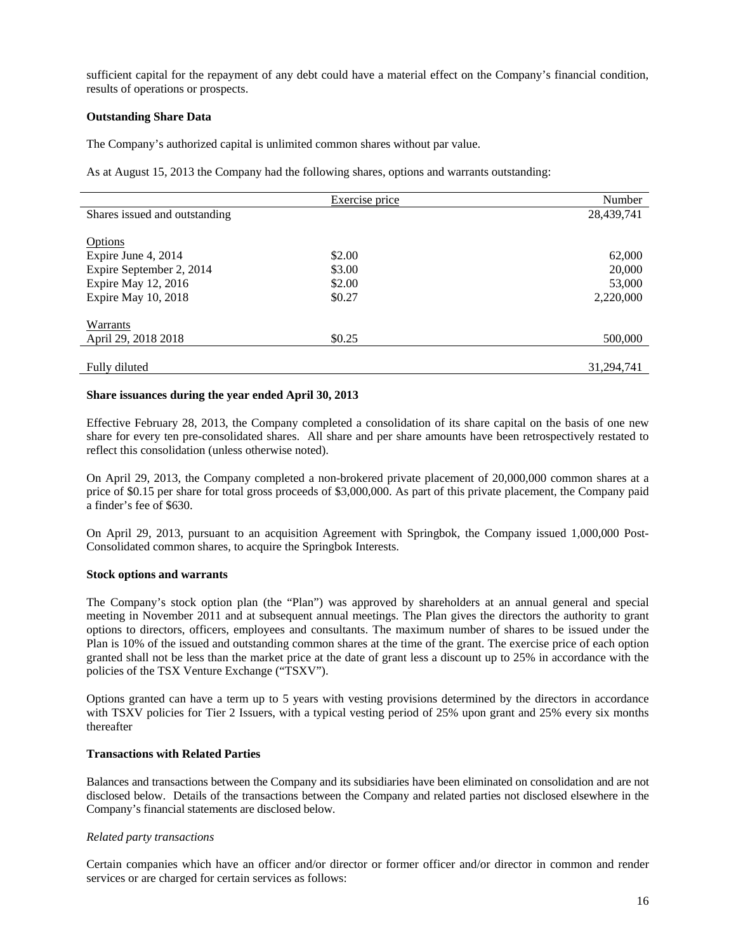sufficient capital for the repayment of any debt could have a material effect on the Company's financial condition, results of operations or prospects.

## **Outstanding Share Data**

The Company's authorized capital is unlimited common shares without par value.

As at August 15, 2013 the Company had the following shares, options and warrants outstanding:

|                               | Exercise price | Number     |
|-------------------------------|----------------|------------|
| Shares issued and outstanding |                | 28,439,741 |
|                               |                |            |
| <b>Options</b>                |                |            |
| Expire June 4, 2014           | \$2.00         | 62,000     |
| Expire September 2, 2014      | \$3.00         | 20,000     |
| Expire May 12, 2016           | \$2.00         | 53,000     |
| Expire May 10, 2018           | \$0.27         | 2,220,000  |
|                               |                |            |
| Warrants                      |                |            |
| April 29, 2018 2018           | \$0.25         | 500,000    |
|                               |                |            |
| Fully diluted                 |                | 31,294,741 |

## **Share issuances during the year ended April 30, 2013**

Effective February 28, 2013, the Company completed a consolidation of its share capital on the basis of one new share for every ten pre-consolidated shares. All share and per share amounts have been retrospectively restated to reflect this consolidation (unless otherwise noted).

On April 29, 2013, the Company completed a non-brokered private placement of 20,000,000 common shares at a price of \$0.15 per share for total gross proceeds of \$3,000,000. As part of this private placement, the Company paid a finder's fee of \$630.

On April 29, 2013, pursuant to an acquisition Agreement with Springbok, the Company issued 1,000,000 Post-Consolidated common shares, to acquire the Springbok Interests.

# **Stock options and warrants**

The Company's stock option plan (the "Plan") was approved by shareholders at an annual general and special meeting in November 2011 and at subsequent annual meetings. The Plan gives the directors the authority to grant options to directors, officers, employees and consultants. The maximum number of shares to be issued under the Plan is 10% of the issued and outstanding common shares at the time of the grant. The exercise price of each option granted shall not be less than the market price at the date of grant less a discount up to 25% in accordance with the policies of the TSX Venture Exchange ("TSXV").

Options granted can have a term up to 5 years with vesting provisions determined by the directors in accordance with TSXV policies for Tier 2 Issuers, with a typical vesting period of 25% upon grant and 25% every six months thereafter

#### **Transactions with Related Parties**

Balances and transactions between the Company and its subsidiaries have been eliminated on consolidation and are not disclosed below. Details of the transactions between the Company and related parties not disclosed elsewhere in the Company's financial statements are disclosed below.

#### *Related party transactions*

Certain companies which have an officer and/or director or former officer and/or director in common and render services or are charged for certain services as follows: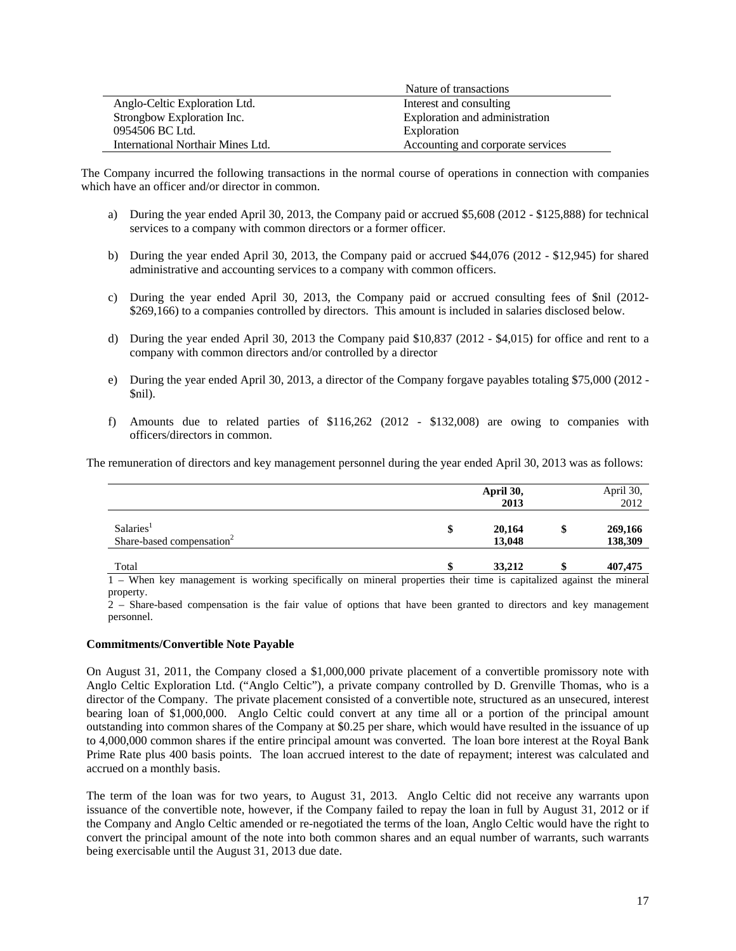|                                   | Nature of transactions            |
|-----------------------------------|-----------------------------------|
| Anglo-Celtic Exploration Ltd.     | Interest and consulting           |
| Strongbow Exploration Inc.        | Exploration and administration    |
| 0954506 BC Ltd.                   | Exploration                       |
| International Northair Mines Ltd. | Accounting and corporate services |

The Company incurred the following transactions in the normal course of operations in connection with companies which have an officer and/or director in common.

- a) During the year ended April 30, 2013, the Company paid or accrued \$5,608 (2012 \$125,888) for technical services to a company with common directors or a former officer.
- b) During the year ended April 30, 2013, the Company paid or accrued \$44,076 (2012 \$12,945) for shared administrative and accounting services to a company with common officers.
- c) During the year ended April 30, 2013, the Company paid or accrued consulting fees of \$nil (2012- \$269,166) to a companies controlled by directors. This amount is included in salaries disclosed below.
- d) During the year ended April 30, 2013 the Company paid \$10,837 (2012 \$4,015) for office and rent to a company with common directors and/or controlled by a director
- e) During the year ended April 30, 2013, a director of the Company forgave payables totaling \$75,000 (2012 \$nil).
- f) Amounts due to related parties of \$116,262 (2012 \$132,008) are owing to companies with officers/directors in common.

The remuneration of directors and key management personnel during the year ended April 30, 2013 was as follows:

|                                                                | April 30,<br>2013      |  | April 30,<br>2012 |  |  |
|----------------------------------------------------------------|------------------------|--|-------------------|--|--|
| Salaries <sup>1</sup><br>Share-based compensation <sup>2</sup> | \$<br>20,164<br>13,048 |  |                   |  |  |
| Total                                                          | 33,212                 |  | 407,475           |  |  |

1 – When key management is working specifically on mineral properties their time is capitalized against the mineral property.

2 – Share-based compensation is the fair value of options that have been granted to directors and key management personnel.

#### **Commitments/Convertible Note Payable**

On August 31, 2011, the Company closed a \$1,000,000 private placement of a convertible promissory note with Anglo Celtic Exploration Ltd. ("Anglo Celtic"), a private company controlled by D. Grenville Thomas, who is a director of the Company. The private placement consisted of a convertible note, structured as an unsecured, interest bearing loan of \$1,000,000. Anglo Celtic could convert at any time all or a portion of the principal amount outstanding into common shares of the Company at \$0.25 per share, which would have resulted in the issuance of up to 4,000,000 common shares if the entire principal amount was converted. The loan bore interest at the Royal Bank Prime Rate plus 400 basis points. The loan accrued interest to the date of repayment; interest was calculated and accrued on a monthly basis.

The term of the loan was for two years, to August 31, 2013. Anglo Celtic did not receive any warrants upon issuance of the convertible note, however, if the Company failed to repay the loan in full by August 31, 2012 or if the Company and Anglo Celtic amended or re-negotiated the terms of the loan, Anglo Celtic would have the right to convert the principal amount of the note into both common shares and an equal number of warrants, such warrants being exercisable until the August 31, 2013 due date.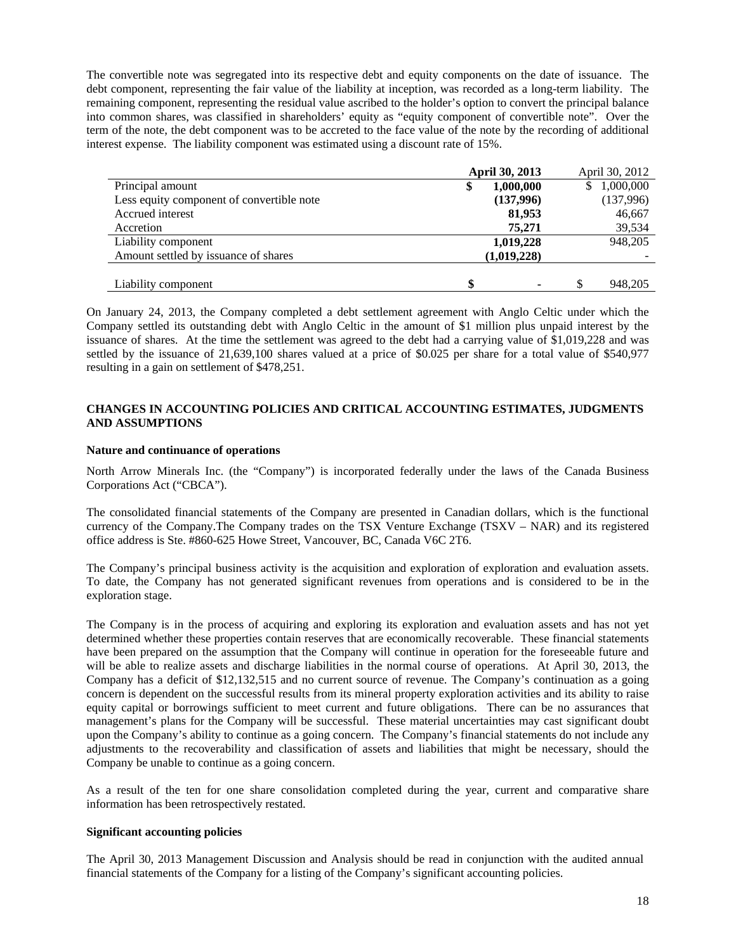The convertible note was segregated into its respective debt and equity components on the date of issuance. The debt component, representing the fair value of the liability at inception, was recorded as a long-term liability. The remaining component, representing the residual value ascribed to the holder's option to convert the principal balance into common shares, was classified in shareholders' equity as "equity component of convertible note". Over the term of the note, the debt component was to be accreted to the face value of the note by the recording of additional interest expense. The liability component was estimated using a discount rate of 15%.

|                                           | <b>April 30, 2013</b> | April 30, 2012 |
|-------------------------------------------|-----------------------|----------------|
| Principal amount                          | 1,000,000<br>\$       | \$1,000,000    |
| Less equity component of convertible note | (137,996)             | (137,996)      |
| Accrued interest                          | 81,953                | 46,667         |
| Accretion                                 | 75,271                | 39,534         |
| Liability component                       | 1,019,228             | 948,205        |
| Amount settled by issuance of shares      | (1,019,228)           |                |
|                                           |                       |                |
| Liability component                       | \$<br>۰               | 948.205        |

On January 24, 2013, the Company completed a debt settlement agreement with Anglo Celtic under which the Company settled its outstanding debt with Anglo Celtic in the amount of \$1 million plus unpaid interest by the issuance of shares. At the time the settlement was agreed to the debt had a carrying value of \$1,019,228 and was settled by the issuance of 21,639,100 shares valued at a price of \$0.025 per share for a total value of \$540,977 resulting in a gain on settlement of \$478,251.

# **CHANGES IN ACCOUNTING POLICIES AND CRITICAL ACCOUNTING ESTIMATES, JUDGMENTS AND ASSUMPTIONS**

#### **Nature and continuance of operations**

North Arrow Minerals Inc. (the "Company") is incorporated federally under the laws of the Canada Business Corporations Act ("CBCA").

The consolidated financial statements of the Company are presented in Canadian dollars, which is the functional currency of the Company.The Company trades on the TSX Venture Exchange (TSXV – NAR) and its registered office address is Ste. #860-625 Howe Street, Vancouver, BC, Canada V6C 2T6.

The Company's principal business activity is the acquisition and exploration of exploration and evaluation assets. To date, the Company has not generated significant revenues from operations and is considered to be in the exploration stage.

The Company is in the process of acquiring and exploring its exploration and evaluation assets and has not yet determined whether these properties contain reserves that are economically recoverable. These financial statements have been prepared on the assumption that the Company will continue in operation for the foreseeable future and will be able to realize assets and discharge liabilities in the normal course of operations. At April 30, 2013, the Company has a deficit of \$12,132,515 and no current source of revenue. The Company's continuation as a going concern is dependent on the successful results from its mineral property exploration activities and its ability to raise equity capital or borrowings sufficient to meet current and future obligations. There can be no assurances that management's plans for the Company will be successful. These material uncertainties may cast significant doubt upon the Company's ability to continue as a going concern. The Company's financial statements do not include any adjustments to the recoverability and classification of assets and liabilities that might be necessary, should the Company be unable to continue as a going concern.

As a result of the ten for one share consolidation completed during the year, current and comparative share information has been retrospectively restated.

## **Significant accounting policies**

The April 30, 2013 Management Discussion and Analysis should be read in conjunction with the audited annual financial statements of the Company for a listing of the Company's significant accounting policies.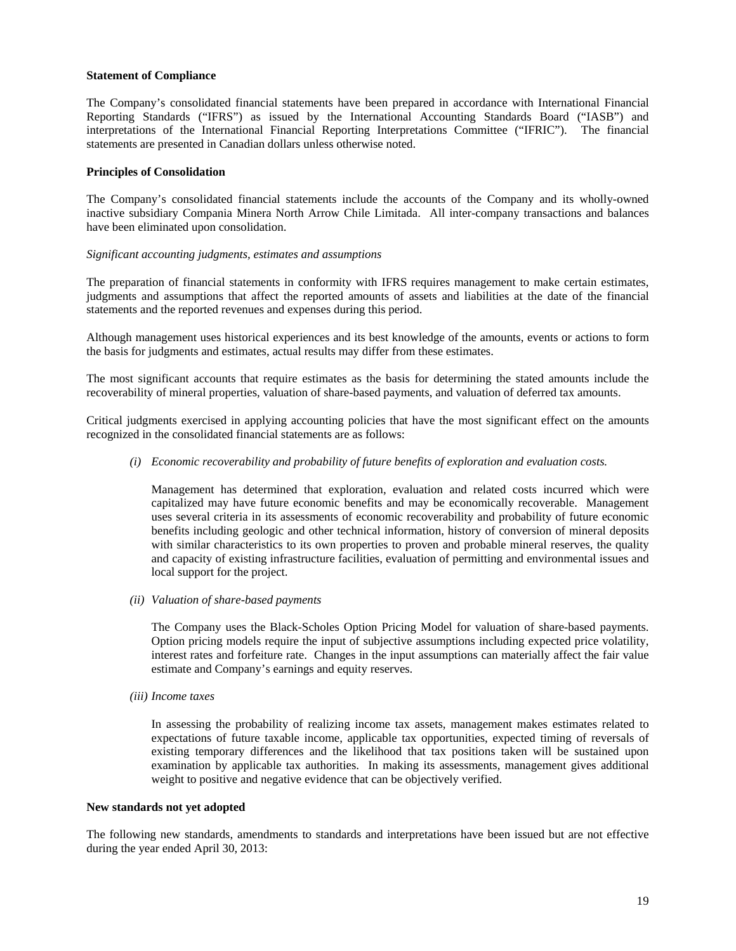## **Statement of Compliance**

The Company's consolidated financial statements have been prepared in accordance with International Financial Reporting Standards ("IFRS") as issued by the International Accounting Standards Board ("IASB") and interpretations of the International Financial Reporting Interpretations Committee ("IFRIC"). The financial statements are presented in Canadian dollars unless otherwise noted.

## **Principles of Consolidation**

The Company's consolidated financial statements include the accounts of the Company and its wholly-owned inactive subsidiary Compania Minera North Arrow Chile Limitada. All inter-company transactions and balances have been eliminated upon consolidation.

#### *Significant accounting judgments, estimates and assumptions*

The preparation of financial statements in conformity with IFRS requires management to make certain estimates, judgments and assumptions that affect the reported amounts of assets and liabilities at the date of the financial statements and the reported revenues and expenses during this period.

Although management uses historical experiences and its best knowledge of the amounts, events or actions to form the basis for judgments and estimates, actual results may differ from these estimates.

The most significant accounts that require estimates as the basis for determining the stated amounts include the recoverability of mineral properties, valuation of share-based payments, and valuation of deferred tax amounts.

Critical judgments exercised in applying accounting policies that have the most significant effect on the amounts recognized in the consolidated financial statements are as follows:

*(i) Economic recoverability and probability of future benefits of exploration and evaluation costs.* 

Management has determined that exploration, evaluation and related costs incurred which were capitalized may have future economic benefits and may be economically recoverable. Management uses several criteria in its assessments of economic recoverability and probability of future economic benefits including geologic and other technical information, history of conversion of mineral deposits with similar characteristics to its own properties to proven and probable mineral reserves, the quality and capacity of existing infrastructure facilities, evaluation of permitting and environmental issues and local support for the project.

*(ii) Valuation of share-based payments* 

The Company uses the Black-Scholes Option Pricing Model for valuation of share-based payments. Option pricing models require the input of subjective assumptions including expected price volatility, interest rates and forfeiture rate. Changes in the input assumptions can materially affect the fair value estimate and Company's earnings and equity reserves.

*(iii) Income taxes*

In assessing the probability of realizing income tax assets, management makes estimates related to expectations of future taxable income, applicable tax opportunities, expected timing of reversals of existing temporary differences and the likelihood that tax positions taken will be sustained upon examination by applicable tax authorities. In making its assessments, management gives additional weight to positive and negative evidence that can be objectively verified.

#### **New standards not yet adopted**

The following new standards, amendments to standards and interpretations have been issued but are not effective during the year ended April 30, 2013: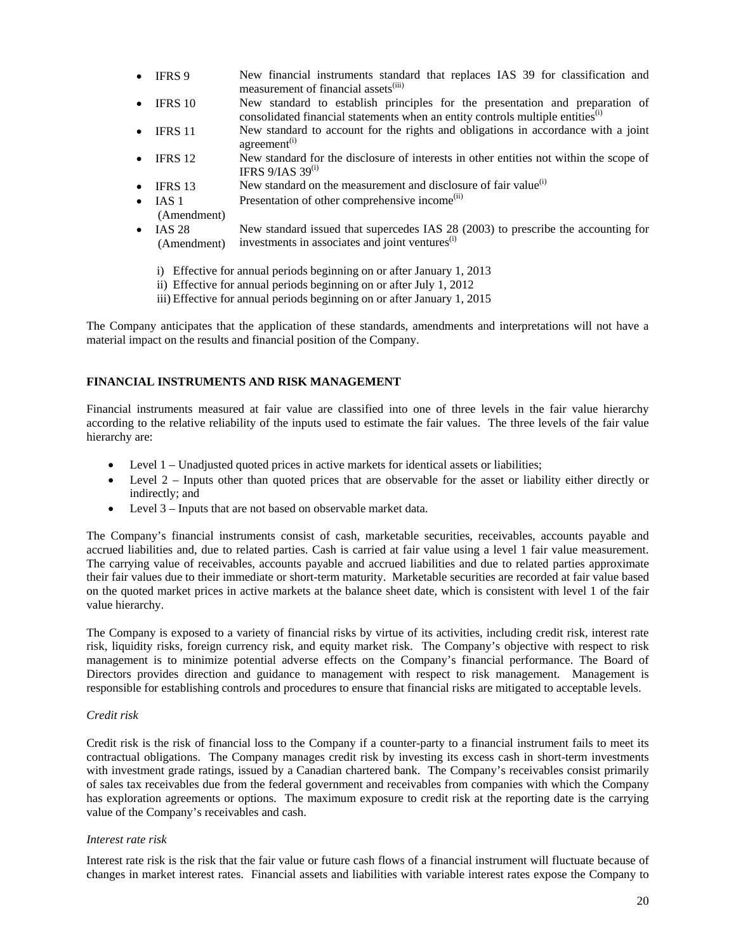- IFRS 9 New financial instruments standard that replaces IAS 39 for classification and measurement of financial assets<sup>(iii)</sup>
- IFRS 10 New standard to establish principles for the presentation and preparation of consolidated financial statements when an entity controls multiple entities $\binom{1}{1}$
- IFRS 11 New standard to account for the rights and obligations in accordance with a joint agreement $(i)$
- IFRS 12 New standard for the disclosure of interests in other entities not within the scope of IFRS  $9/IAS$  39<sup>(i)</sup>
- IFRS 13 New standard on the measurement and disclosure of fair value<sup>(i)</sup>
- IAS 1 Presentation of other comprehensive income<sup>(ii)</sup>
- (Amendment)
- $\bullet$  IAS 28 (Amendment) New standard issued that supercedes IAS 28 (2003) to prescribe the accounting for investments in associates and joint ventures<sup>(i)</sup>
	- i) Effective for annual periods beginning on or after January 1, 2013
	- ii) Effective for annual periods beginning on or after July 1, 2012
	- iii) Effective for annual periods beginning on or after January 1, 2015

The Company anticipates that the application of these standards, amendments and interpretations will not have a material impact on the results and financial position of the Company.

# **FINANCIAL INSTRUMENTS AND RISK MANAGEMENT**

Financial instruments measured at fair value are classified into one of three levels in the fair value hierarchy according to the relative reliability of the inputs used to estimate the fair values. The three levels of the fair value hierarchy are:

- Level 1 Unadjusted quoted prices in active markets for identical assets or liabilities;
- Level 2 Inputs other than quoted prices that are observable for the asset or liability either directly or indirectly; and
- Level 3 Inputs that are not based on observable market data.

The Company's financial instruments consist of cash, marketable securities, receivables, accounts payable and accrued liabilities and, due to related parties. Cash is carried at fair value using a level 1 fair value measurement. The carrying value of receivables, accounts payable and accrued liabilities and due to related parties approximate their fair values due to their immediate or short-term maturity. Marketable securities are recorded at fair value based on the quoted market prices in active markets at the balance sheet date, which is consistent with level 1 of the fair value hierarchy.

The Company is exposed to a variety of financial risks by virtue of its activities, including credit risk, interest rate risk, liquidity risks, foreign currency risk, and equity market risk. The Company's objective with respect to risk management is to minimize potential adverse effects on the Company's financial performance. The Board of Directors provides direction and guidance to management with respect to risk management. Management is responsible for establishing controls and procedures to ensure that financial risks are mitigated to acceptable levels.

#### *Credit risk*

Credit risk is the risk of financial loss to the Company if a counter-party to a financial instrument fails to meet its contractual obligations. The Company manages credit risk by investing its excess cash in short-term investments with investment grade ratings, issued by a Canadian chartered bank. The Company's receivables consist primarily of sales tax receivables due from the federal government and receivables from companies with which the Company has exploration agreements or options. The maximum exposure to credit risk at the reporting date is the carrying value of the Company's receivables and cash.

#### *Interest rate risk*

Interest rate risk is the risk that the fair value or future cash flows of a financial instrument will fluctuate because of changes in market interest rates. Financial assets and liabilities with variable interest rates expose the Company to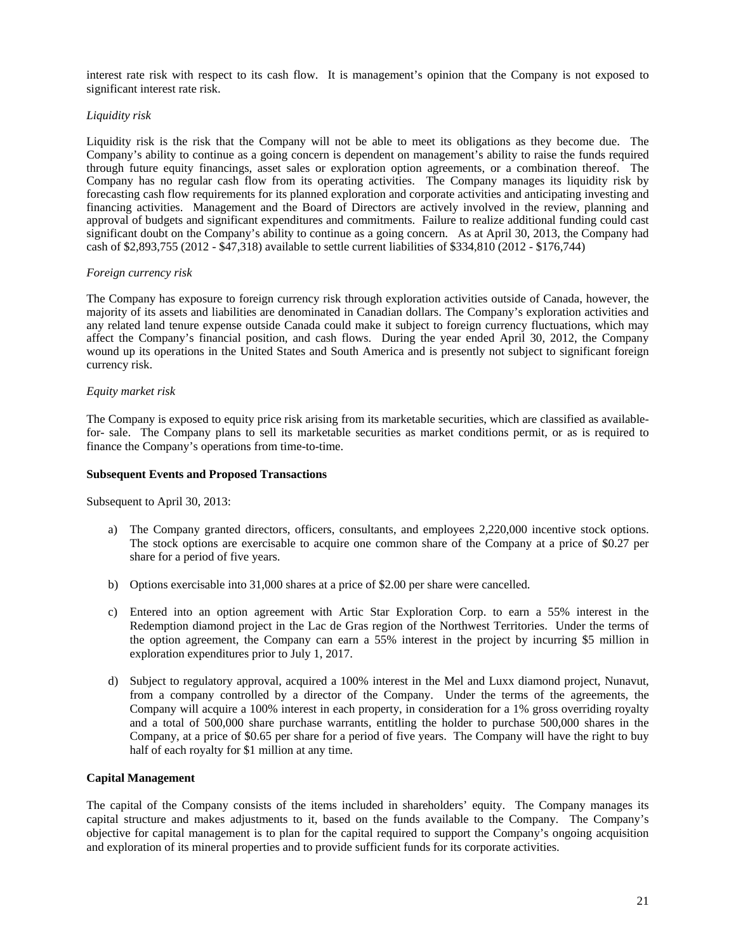interest rate risk with respect to its cash flow. It is management's opinion that the Company is not exposed to significant interest rate risk.

## *Liquidity risk*

Liquidity risk is the risk that the Company will not be able to meet its obligations as they become due. The Company's ability to continue as a going concern is dependent on management's ability to raise the funds required through future equity financings, asset sales or exploration option agreements, or a combination thereof. The Company has no regular cash flow from its operating activities. The Company manages its liquidity risk by forecasting cash flow requirements for its planned exploration and corporate activities and anticipating investing and financing activities. Management and the Board of Directors are actively involved in the review, planning and approval of budgets and significant expenditures and commitments. Failure to realize additional funding could cast significant doubt on the Company's ability to continue as a going concern. As at April 30, 2013, the Company had cash of \$2,893,755 (2012 - \$47,318) available to settle current liabilities of \$334,810 (2012 - \$176,744)

#### *Foreign currency risk*

The Company has exposure to foreign currency risk through exploration activities outside of Canada, however, the majority of its assets and liabilities are denominated in Canadian dollars. The Company's exploration activities and any related land tenure expense outside Canada could make it subject to foreign currency fluctuations, which may affect the Company's financial position, and cash flows. During the year ended April 30, 2012, the Company wound up its operations in the United States and South America and is presently not subject to significant foreign currency risk.

## *Equity market risk*

The Company is exposed to equity price risk arising from its marketable securities, which are classified as availablefor- sale. The Company plans to sell its marketable securities as market conditions permit, or as is required to finance the Company's operations from time-to-time.

## **Subsequent Events and Proposed Transactions**

Subsequent to April 30, 2013:

- a) The Company granted directors, officers, consultants, and employees 2,220,000 incentive stock options. The stock options are exercisable to acquire one common share of the Company at a price of \$0.27 per share for a period of five years.
- b) Options exercisable into 31,000 shares at a price of \$2.00 per share were cancelled.
- c) Entered into an option agreement with Artic Star Exploration Corp. to earn a 55% interest in the Redemption diamond project in the Lac de Gras region of the Northwest Territories. Under the terms of the option agreement, the Company can earn a 55% interest in the project by incurring \$5 million in exploration expenditures prior to July 1, 2017.
- d) Subject to regulatory approval, acquired a 100% interest in the Mel and Luxx diamond project, Nunavut, from a company controlled by a director of the Company. Under the terms of the agreements, the Company will acquire a 100% interest in each property, in consideration for a 1% gross overriding royalty and a total of 500,000 share purchase warrants, entitling the holder to purchase 500,000 shares in the Company, at a price of \$0.65 per share for a period of five years. The Company will have the right to buy half of each royalty for \$1 million at any time.

#### **Capital Management**

The capital of the Company consists of the items included in shareholders' equity. The Company manages its capital structure and makes adjustments to it, based on the funds available to the Company. The Company's objective for capital management is to plan for the capital required to support the Company's ongoing acquisition and exploration of its mineral properties and to provide sufficient funds for its corporate activities.